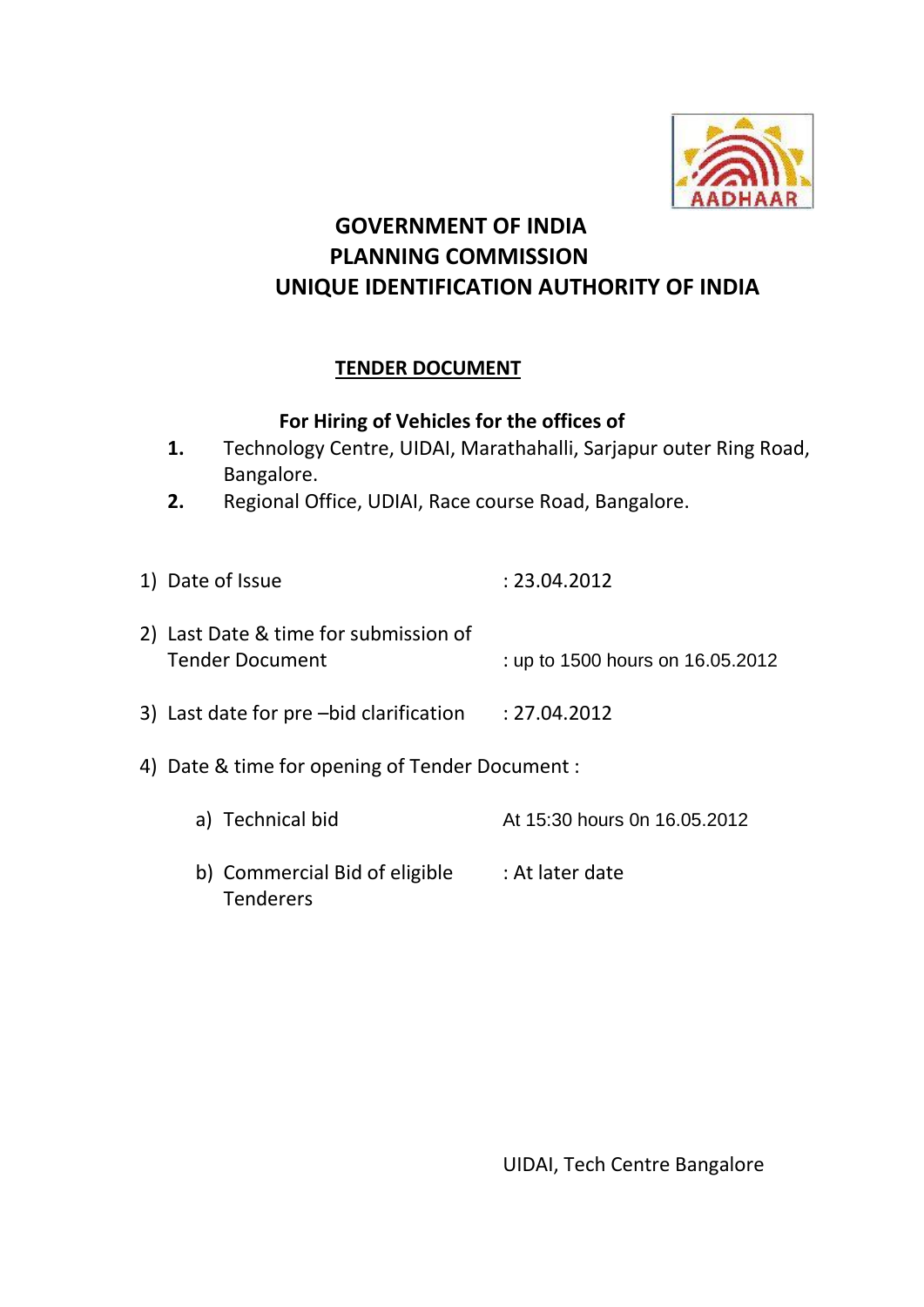

## **GOVERNMENT OF INDIA PLANNING COMMISSION UNIQUE IDENTIFICATION AUTHORITY OF INDIA**

## **TENDER DOCUMENT**

### **For Hiring of Vehicles for the offices of**

- **1.** Technology Centre, UIDAI, Marathahalli, Sarjapur outer Ring Road, Bangalore.
- **2.** Regional Office, UDIAI, Race course Road, Bangalore.

1) Date of Issue : 23.04.2012 2) Last Date & time for submission of Tender Document : up to 1500 hours on 16.05.2012 3) Last date for pre –bid clarification : 27.04.2012 4) Date & time for opening of Tender Document : a) Technical bid At 15:30 hours 0n 16.05.2012

b) Commercial Bid of eligible : At later date Tenderers

UIDAI, Tech Centre Bangalore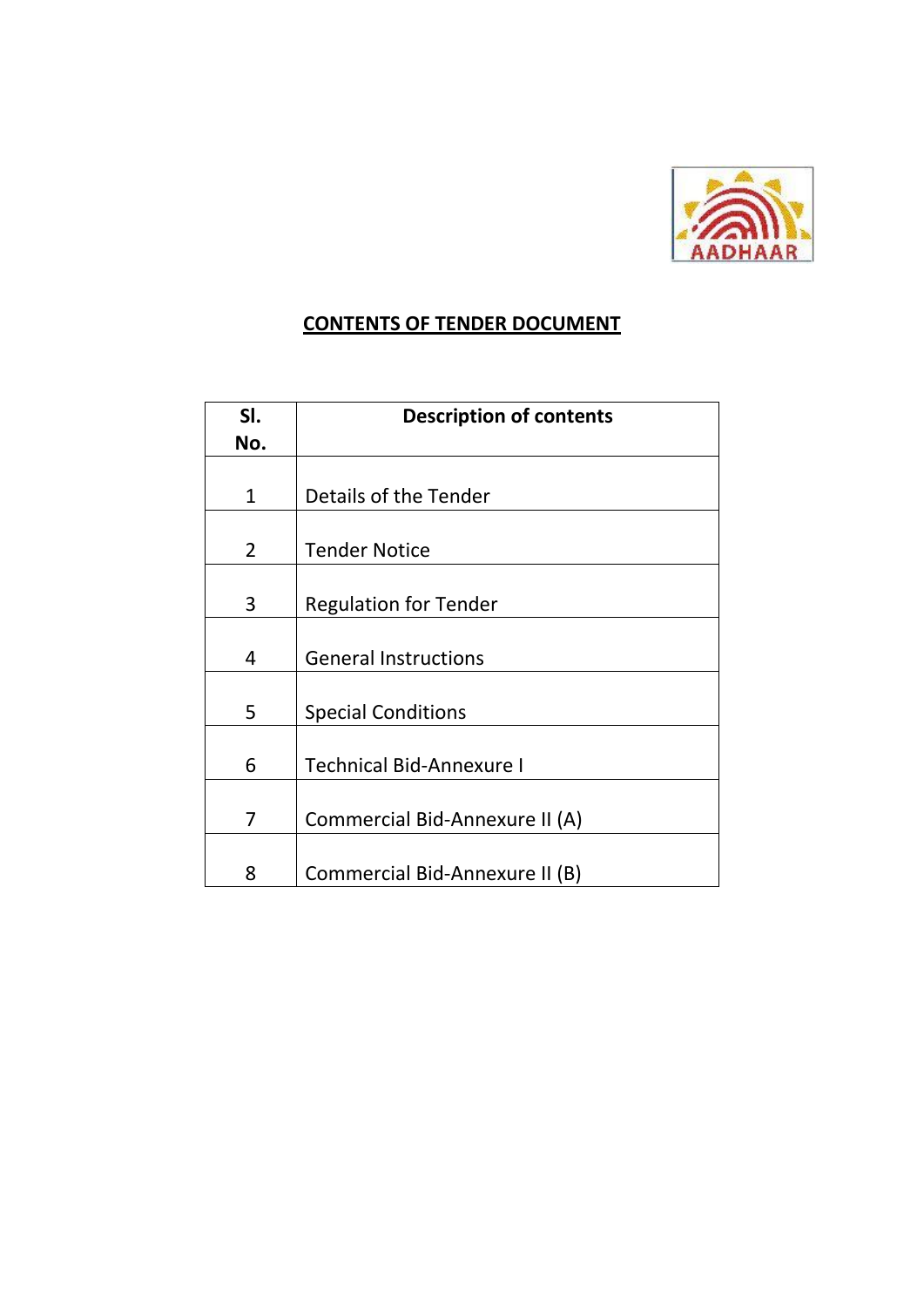

## **CONTENTS OF TENDER DOCUMENT**

| SI.            | <b>Description of contents</b>  |  |  |
|----------------|---------------------------------|--|--|
| No.            |                                 |  |  |
|                |                                 |  |  |
| $\mathbf 1$    | Details of the Tender           |  |  |
|                |                                 |  |  |
| $\overline{2}$ | <b>Tender Notice</b>            |  |  |
|                |                                 |  |  |
| 3              | <b>Regulation for Tender</b>    |  |  |
|                |                                 |  |  |
| 4              | <b>General Instructions</b>     |  |  |
|                |                                 |  |  |
| 5              | <b>Special Conditions</b>       |  |  |
|                |                                 |  |  |
| 6              | <b>Technical Bid-Annexure I</b> |  |  |
|                |                                 |  |  |
| 7              | Commercial Bid-Annexure II (A)  |  |  |
|                |                                 |  |  |
| 8              | Commercial Bid-Annexure II (B)  |  |  |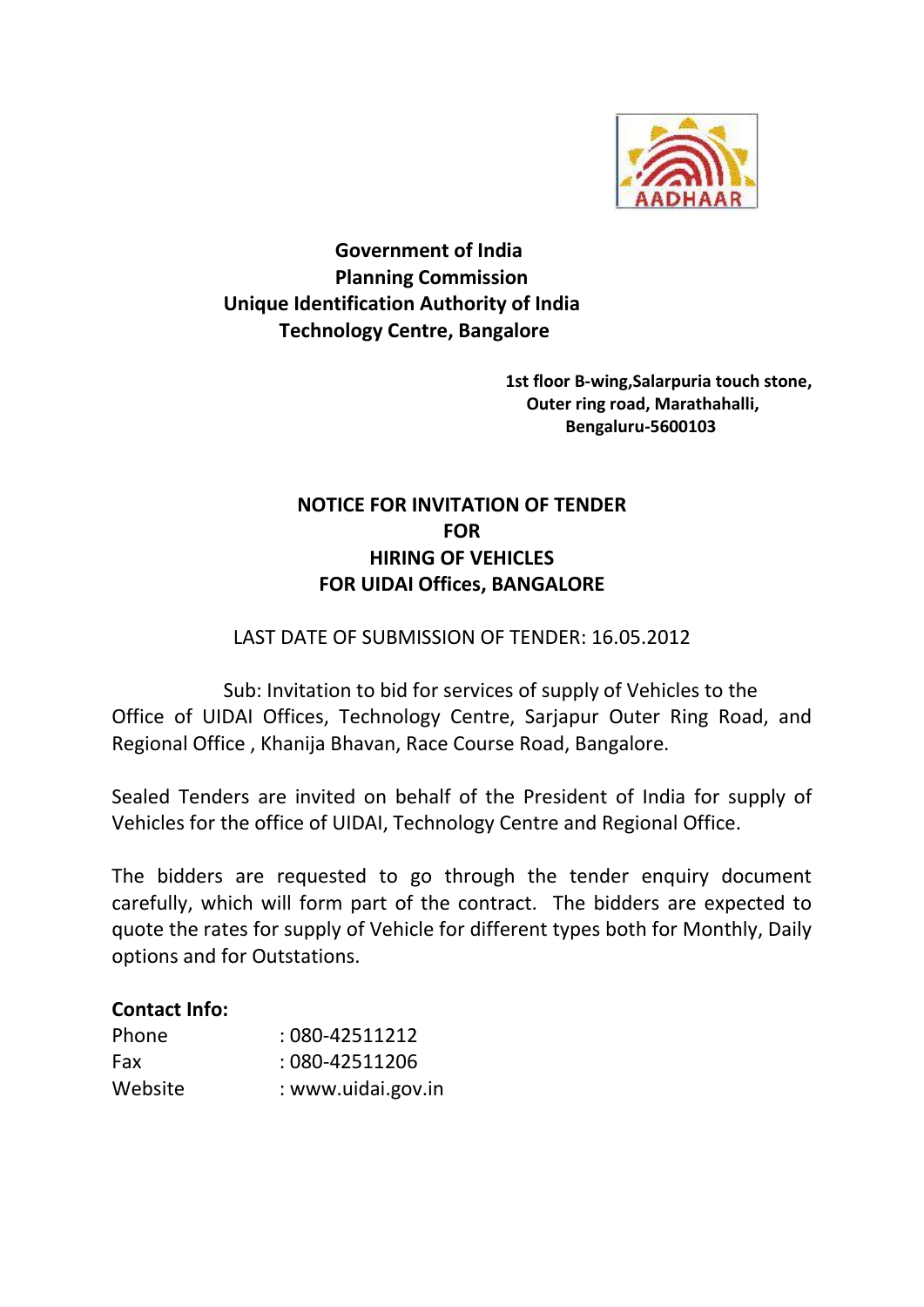

**Government of India Planning Commission Unique Identification Authority of India Technology Centre, Bangalore**

> **1st floor B-wing,Salarpuria touch stone, Outer ring road, Marathahalli, Bengaluru-5600103**

## **NOTICE FOR INVITATION OF TENDER FOR HIRING OF VEHICLES FOR UIDAI Offices, BANGALORE**

### LAST DATE OF SUBMISSION OF TENDER: 16.05.2012

Sub: Invitation to bid for services of supply of Vehicles to the Office of UIDAI Offices, Technology Centre, Sarjapur Outer Ring Road, and Regional Office , Khanija Bhavan, Race Course Road, Bangalore.

Sealed Tenders are invited on behalf of the President of India for supply of Vehicles for the office of UIDAI, Technology Centre and Regional Office.

The bidders are requested to go through the tender enquiry document carefully, which will form part of the contract. The bidders are expected to quote the rates for supply of Vehicle for different types both for Monthly, Daily options and for Outstations.

### **Contact Info:**

| Phone   | $:080 - 42511212$  |
|---------|--------------------|
| Fax     | : 080-42511206     |
| Website | : www.uidai.gov.in |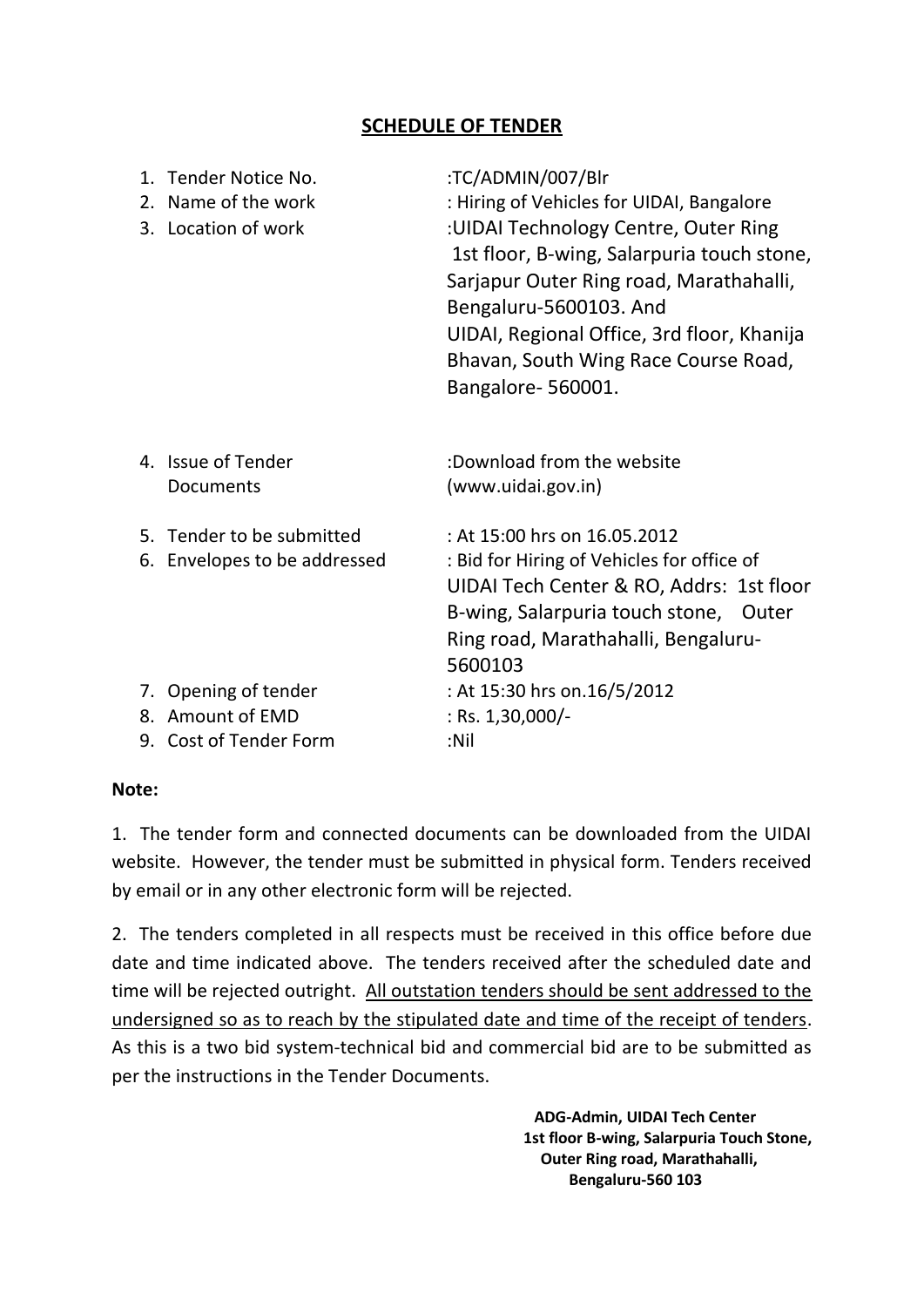### **SCHEDULE OF TENDER**

| 1. Tender Notice No.<br>2. Name of the work<br>3. Location of work | :TC/ADMIN/007/Blr<br>: Hiring of Vehicles for UIDAI, Bangalore<br>:UIDAI Technology Centre, Outer Ring<br>1st floor, B-wing, Salarpuria touch stone,<br>Sarjapur Outer Ring road, Marathahalli,<br>Bengaluru-5600103. And<br>UIDAI, Regional Office, 3rd floor, Khanija<br>Bhavan, South Wing Race Course Road,<br>Bangalore-560001. |
|--------------------------------------------------------------------|--------------------------------------------------------------------------------------------------------------------------------------------------------------------------------------------------------------------------------------------------------------------------------------------------------------------------------------|
| 4. Issue of Tender<br>Documents                                    | :Download from the website<br>(www.uidai.gov.in)                                                                                                                                                                                                                                                                                     |
| 5. Tender to be submitted<br>6. Envelopes to be addressed          | : At 15:00 hrs on 16.05.2012<br>: Bid for Hiring of Vehicles for office of<br>UIDAI Tech Center & RO, Addrs: 1st floor<br>B-wing, Salarpuria touch stone, Outer<br>Ring road, Marathahalli, Bengaluru-<br>5600103                                                                                                                    |
| 7. Opening of tender<br>8. Amount of EMD<br>9. Cost of Tender Form | : At 15:30 hrs on.16/5/2012<br>: Rs. $1,30,000/-$<br>:Nil                                                                                                                                                                                                                                                                            |

#### **Note:**

1. The tender form and connected documents can be downloaded from the UIDAI website. However, the tender must be submitted in physical form. Tenders received by email or in any other electronic form will be rejected.

2. The tenders completed in all respects must be received in this office before due date and time indicated above. The tenders received after the scheduled date and time will be rejected outright. All outstation tenders should be sent addressed to the undersigned so as to reach by the stipulated date and time of the receipt of tenders. As this is a two bid system-technical bid and commercial bid are to be submitted as per the instructions in the Tender Documents.

> **ADG-Admin, UIDAI Tech Center 1st floor B-wing, Salarpuria Touch Stone, Outer Ring road, Marathahalli, Bengaluru-560 103**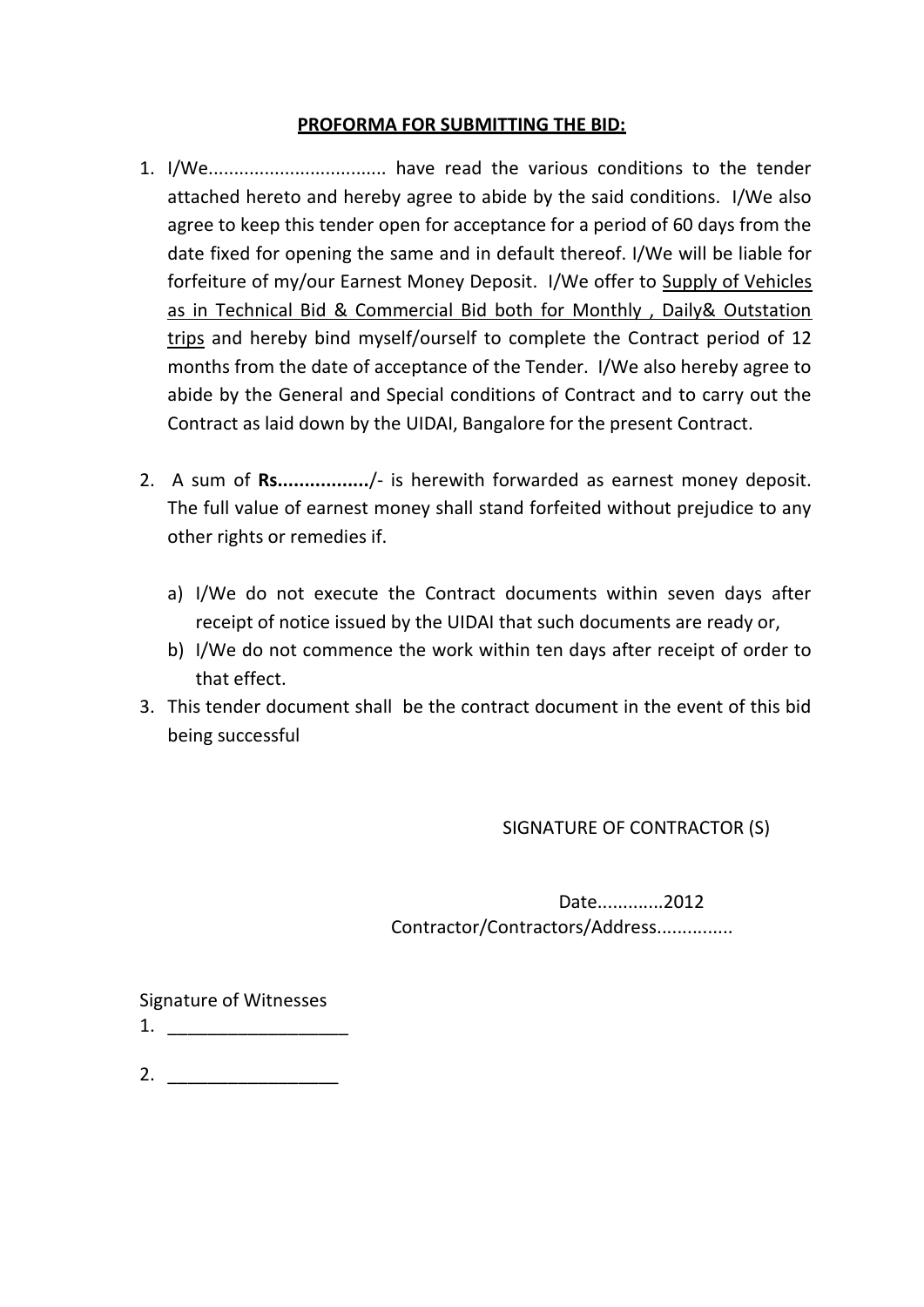#### **PROFORMA FOR SUBMITTING THE BID:**

- 1. I/We................................... have read the various conditions to the tender attached hereto and hereby agree to abide by the said conditions. I/We also agree to keep this tender open for acceptance for a period of 60 days from the date fixed for opening the same and in default thereof. I/We will be liable for forfeiture of my/our Earnest Money Deposit. I/We offer to Supply of Vehicles as in Technical Bid & Commercial Bid both for Monthly , Daily& Outstation trips and hereby bind myself/ourself to complete the Contract period of 12 months from the date of acceptance of the Tender. I/We also hereby agree to abide by the General and Special conditions of Contract and to carry out the Contract as laid down by the UIDAI, Bangalore for the present Contract.
- 2. A sum of **Rs.................**/- is herewith forwarded as earnest money deposit. The full value of earnest money shall stand forfeited without prejudice to any other rights or remedies if.
	- a) I/We do not execute the Contract documents within seven days after receipt of notice issued by the UIDAI that such documents are ready or,
	- b) I/We do not commence the work within ten days after receipt of order to that effect.
- 3. This tender document shall be the contract document in the event of this bid being successful

SIGNATURE OF CONTRACTOR (S)

Date.............2012 Contractor/Contractors/Address...............

Signature of Witnesses

1. \_\_\_\_\_\_\_\_\_\_\_\_\_\_\_\_\_\_

2.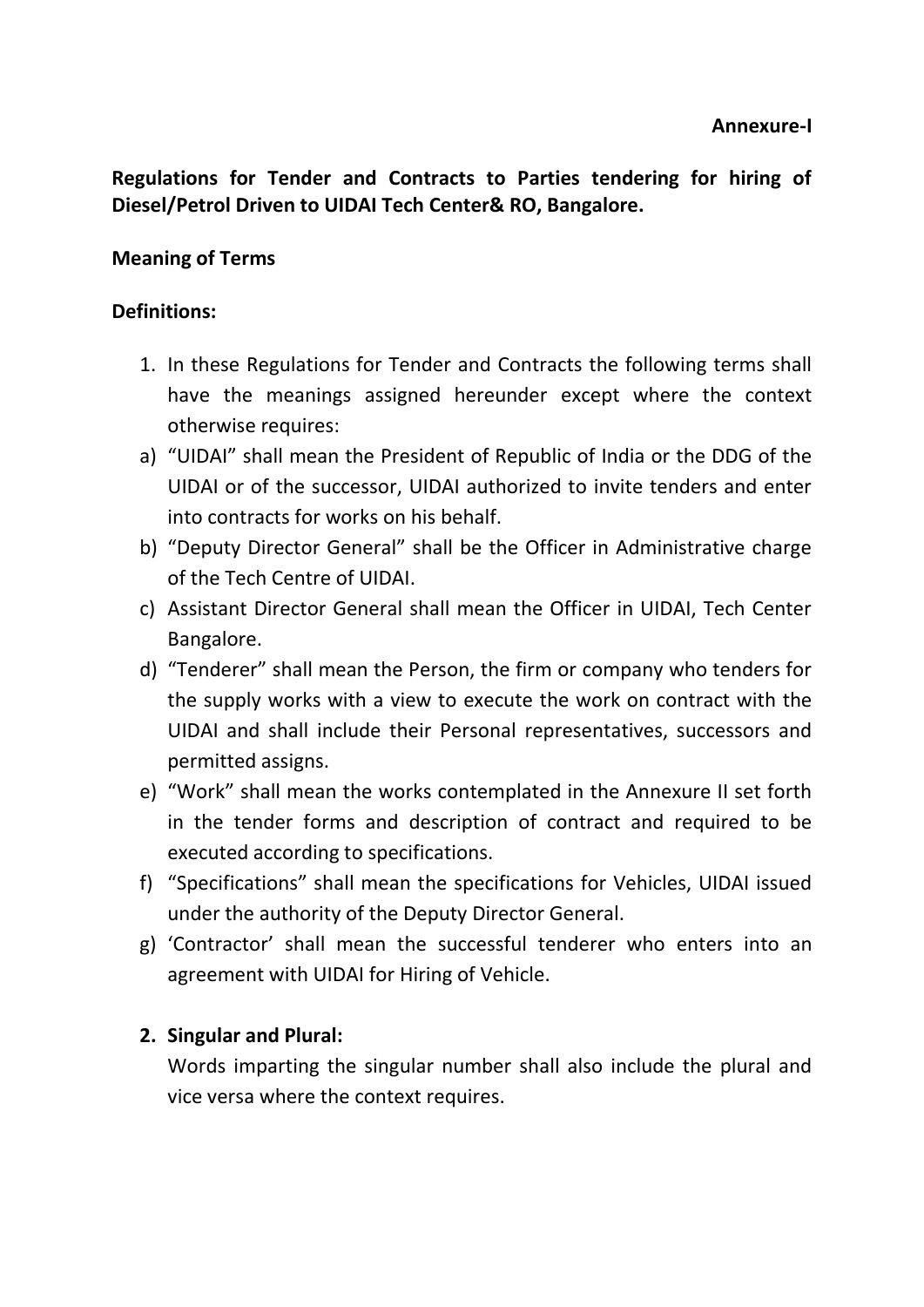**Regulations for Tender and Contracts to Parties tendering for hiring of Diesel/Petrol Driven to UIDAI Tech Center& RO, Bangalore.**

## **Meaning of Terms**

## **Definitions:**

- 1. In these Regulations for Tender and Contracts the following terms shall have the meanings assigned hereunder except where the context otherwise requires:
- a) "UIDAI" shall mean the President of Republic of India or the DDG of the UIDAI or of the successor, UIDAI authorized to invite tenders and enter into contracts for works on his behalf.
- b) "Deputy Director General" shall be the Officer in Administrative charge of the Tech Centre of UIDAI.
- c) Assistant Director General shall mean the Officer in UIDAI, Tech Center Bangalore.
- d) "Tenderer" shall mean the Person, the firm or company who tenders for the supply works with a view to execute the work on contract with the UIDAI and shall include their Personal representatives, successors and permitted assigns.
- e) "Work" shall mean the works contemplated in the Annexure II set forth in the tender forms and description of contract and required to be executed according to specifications.
- f) "Specifications" shall mean the specifications for Vehicles, UIDAI issued under the authority of the Deputy Director General.
- g) 'Contractor' shall mean the successful tenderer who enters into an agreement with UIDAI for Hiring of Vehicle.

## **2. Singular and Plural:**

Words imparting the singular number shall also include the plural and vice versa where the context requires.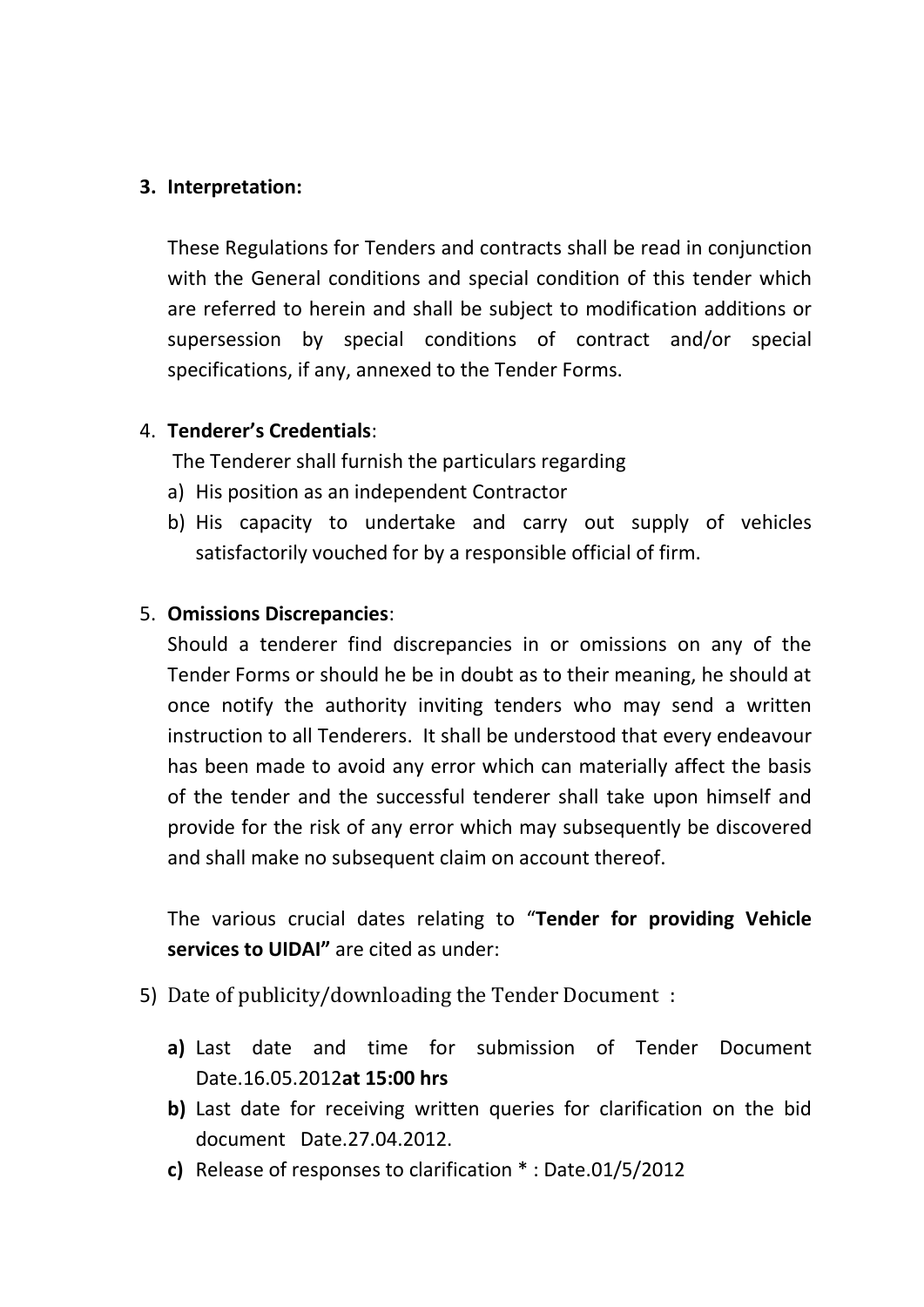## **3. Interpretation:**

These Regulations for Tenders and contracts shall be read in conjunction with the General conditions and special condition of this tender which are referred to herein and shall be subject to modification additions or supersession by special conditions of contract and/or special specifications, if any, annexed to the Tender Forms.

## 4. **Tenderer's Credentials**:

The Tenderer shall furnish the particulars regarding

- a) His position as an independent Contractor
- b) His capacity to undertake and carry out supply of vehicles satisfactorily vouched for by a responsible official of firm.

## 5. **Omissions Discrepancies**:

Should a tenderer find discrepancies in or omissions on any of the Tender Forms or should he be in doubt as to their meaning, he should at once notify the authority inviting tenders who may send a written instruction to all Tenderers. It shall be understood that every endeavour has been made to avoid any error which can materially affect the basis of the tender and the successful tenderer shall take upon himself and provide for the risk of any error which may subsequently be discovered and shall make no subsequent claim on account thereof.

The various crucial dates relating to "**Tender for providing Vehicle services to UIDAI"** are cited as under:

- 5) Date of publicity/downloading the Tender Document :
	- **a)** Last date and time for submission of Tender Document Date.16.05.2012**at 15:00 hrs**
	- **b)** Last date for receiving written queries for clarification on the bid document Date.27.04.2012.
	- **c)** Release of responses to clarification \* : Date.01/5/2012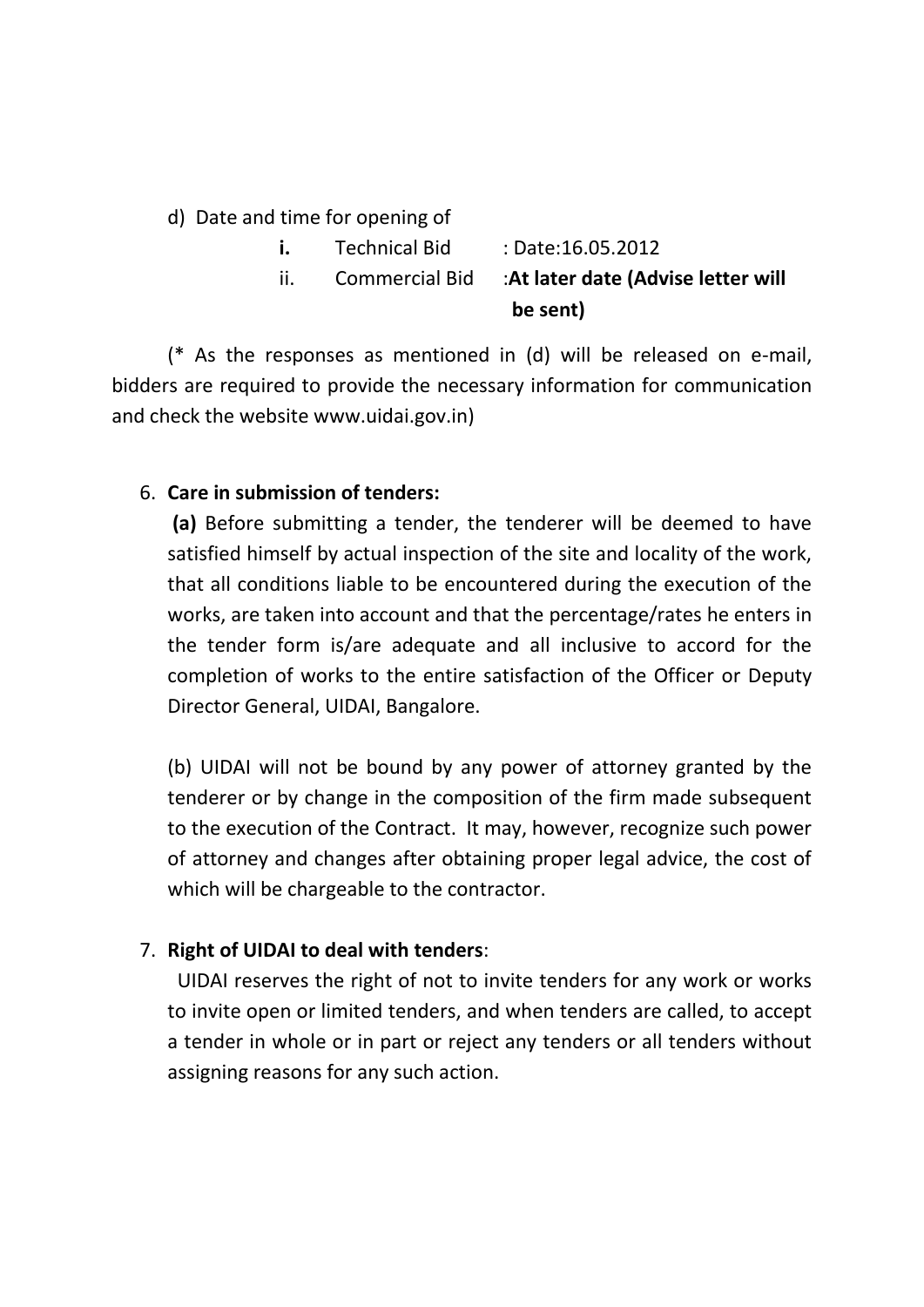d) Date and time for opening of

- **i.** Technical Bid : Date:16.05.2012
- ii. Commercial Bid :**At later date (Advise letter will be sent)**

(\* As the responses as mentioned in (d) will be released on e-mail, bidders are required to provide the necessary information for communication and check the website www.uidai.gov.in)

## 6. **Care in submission of tenders:**

**(a)** Before submitting a tender, the tenderer will be deemed to have satisfied himself by actual inspection of the site and locality of the work, that all conditions liable to be encountered during the execution of the works, are taken into account and that the percentage/rates he enters in the tender form is/are adequate and all inclusive to accord for the completion of works to the entire satisfaction of the Officer or Deputy Director General, UIDAI, Bangalore.

(b) UIDAI will not be bound by any power of attorney granted by the tenderer or by change in the composition of the firm made subsequent to the execution of the Contract. It may, however, recognize such power of attorney and changes after obtaining proper legal advice, the cost of which will be chargeable to the contractor.

## 7. **Right of UIDAI to deal with tenders**:

 UIDAI reserves the right of not to invite tenders for any work or works to invite open or limited tenders, and when tenders are called, to accept a tender in whole or in part or reject any tenders or all tenders without assigning reasons for any such action.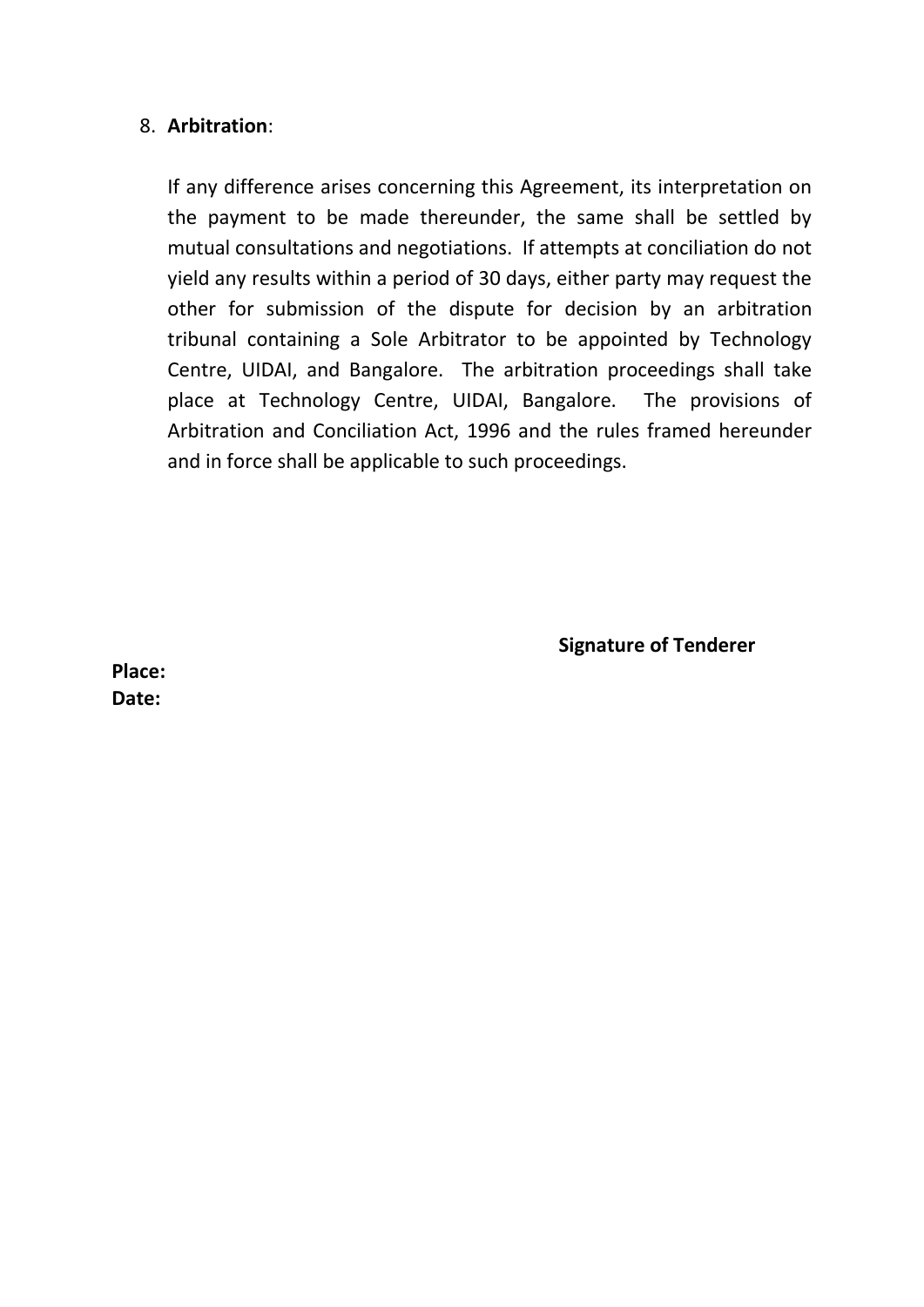### 8. **Arbitration**:

If any difference arises concerning this Agreement, its interpretation on the payment to be made thereunder, the same shall be settled by mutual consultations and negotiations. If attempts at conciliation do not yield any results within a period of 30 days, either party may request the other for submission of the dispute for decision by an arbitration tribunal containing a Sole Arbitrator to be appointed by Technology Centre, UIDAI, and Bangalore. The arbitration proceedings shall take place at Technology Centre, UIDAI, Bangalore. The provisions of Arbitration and Conciliation Act, 1996 and the rules framed hereunder and in force shall be applicable to such proceedings.

**Signature of Tenderer**

**Place: Date:**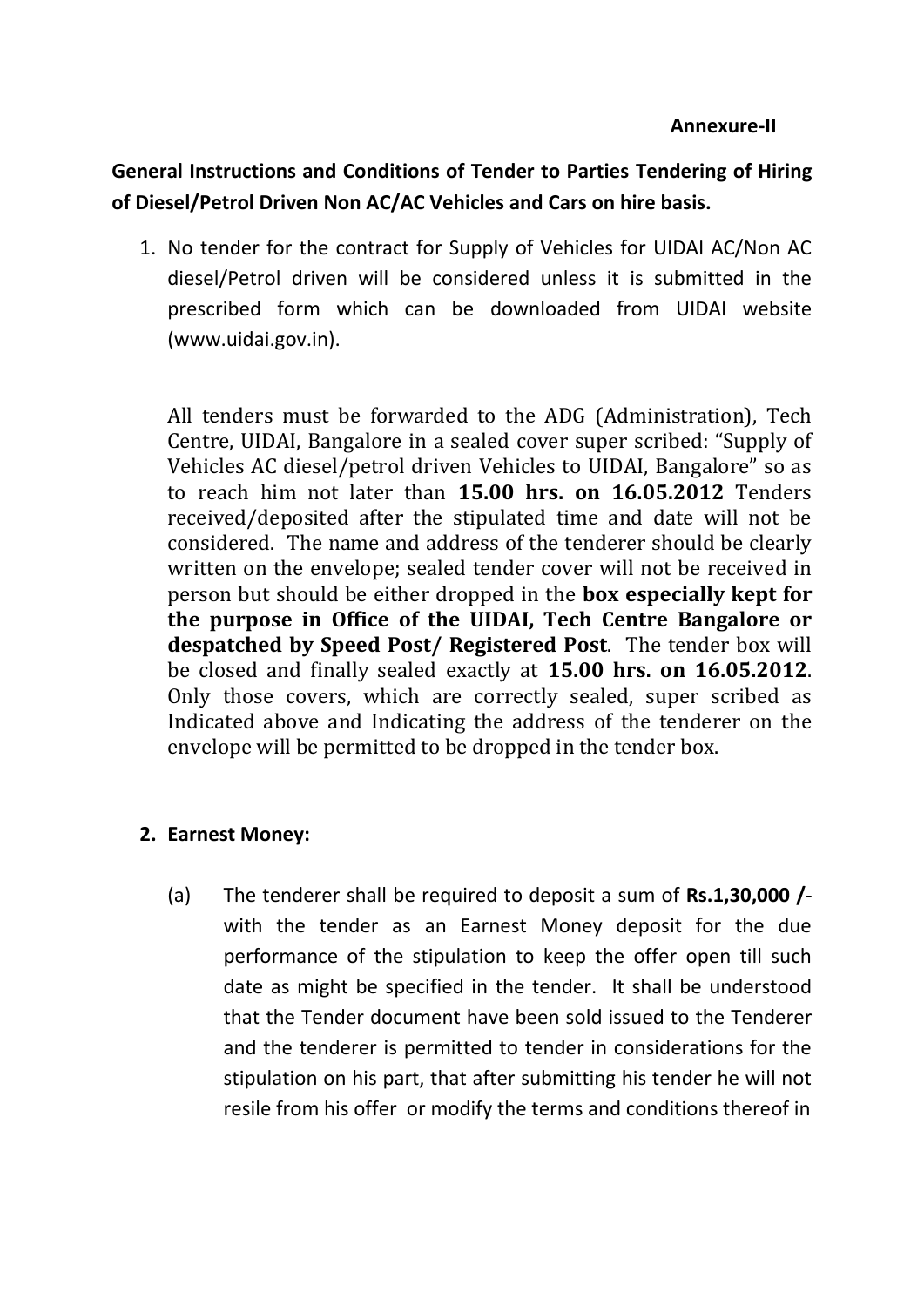### **Annexure-II**

## **General Instructions and Conditions of Tender to Parties Tendering of Hiring of Diesel/Petrol Driven Non AC/AC Vehicles and Cars on hire basis.**

1. No tender for the contract for Supply of Vehicles for UIDAI AC/Non AC diesel/Petrol driven will be considered unless it is submitted in the prescribed form which can be downloaded from UIDAI website (www.uidai.gov.in).

All tenders must be forwarded to the ADG (Administration), Tech Centre, UIDAI, Bangalore in a sealed cover super scribed: "Supply of Vehicles AC diesel/petrol driven Vehicles to UIDAI, Bangalore" so as to reach him not later than **15.00 hrs. on 16.05.2012** Tenders received/deposited after the stipulated time and date will not be considered. The name and address of the tenderer should be clearly written on the envelope; sealed tender cover will not be received in person but should be either dropped in the **box especially kept for the purpose in Office of the UIDAI, Tech Centre Bangalore or despatched by Speed Post/ Registered Post**. The tender box will be closed and finally sealed exactly at **15.00 hrs. on 16.05.2012**. Only those covers, which are correctly sealed, super scribed as Indicated above and Indicating the address of the tenderer on the envelope will be permitted to be dropped in the tender box.

## **2. Earnest Money:**

(a) The tenderer shall be required to deposit a sum of **Rs.1,30,000 /** with the tender as an Earnest Money deposit for the due performance of the stipulation to keep the offer open till such date as might be specified in the tender. It shall be understood that the Tender document have been sold issued to the Tenderer and the tenderer is permitted to tender in considerations for the stipulation on his part, that after submitting his tender he will not resile from his offer or modify the terms and conditions thereof in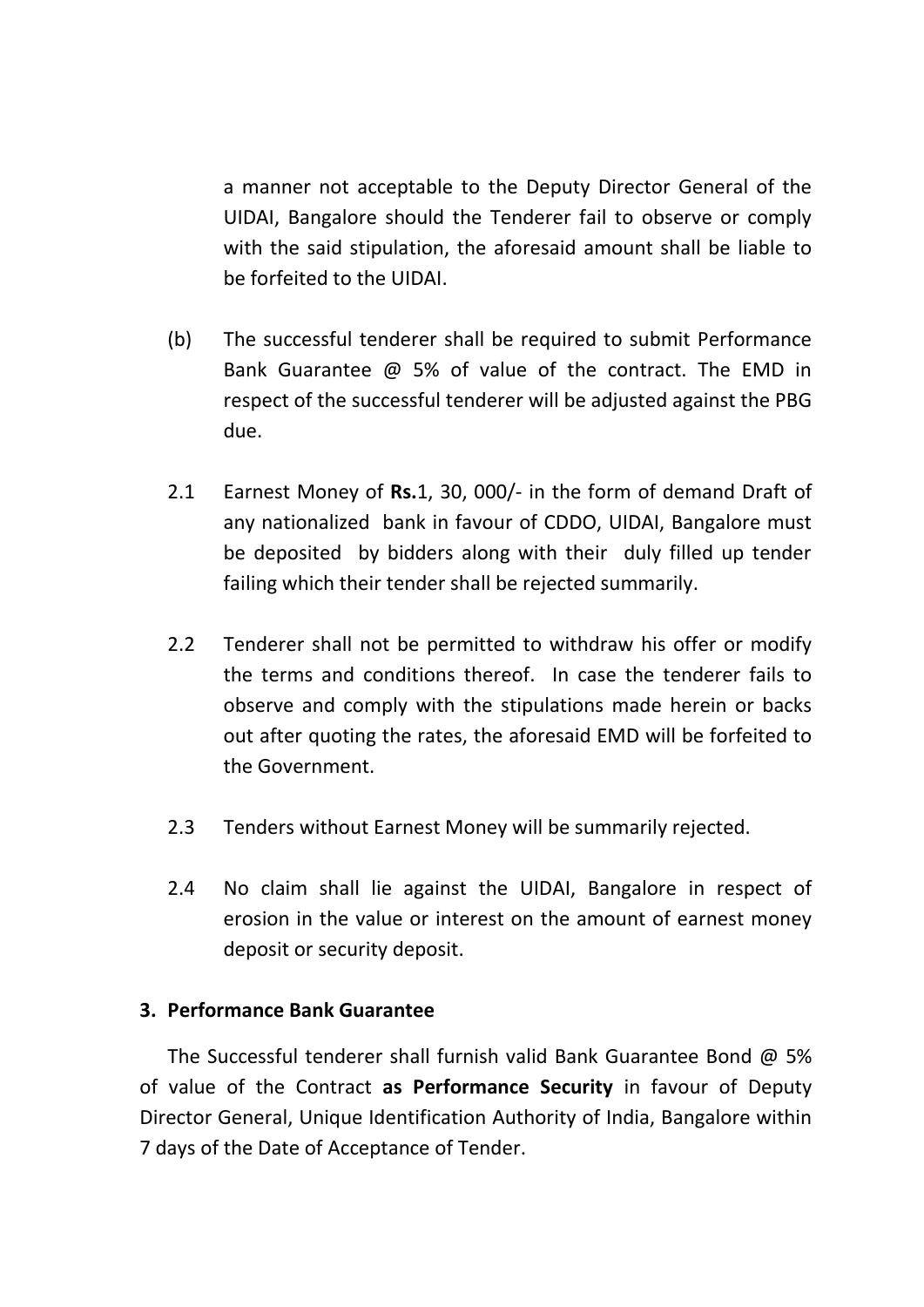a manner not acceptable to the Deputy Director General of the UIDAI, Bangalore should the Tenderer fail to observe or comply with the said stipulation, the aforesaid amount shall be liable to be forfeited to the UIDAI.

- (b) The successful tenderer shall be required to submit Performance Bank Guarantee @ 5% of value of the contract. The EMD in respect of the successful tenderer will be adjusted against the PBG due.
- 2.1 Earnest Money of **Rs.**1, 30, 000/- in the form of demand Draft of any nationalized bank in favour of CDDO, UIDAI, Bangalore must be deposited by bidders along with their duly filled up tender failing which their tender shall be rejected summarily.
- 2.2 Tenderer shall not be permitted to withdraw his offer or modify the terms and conditions thereof. In case the tenderer fails to observe and comply with the stipulations made herein or backs out after quoting the rates, the aforesaid EMD will be forfeited to the Government.
- 2.3 Tenders without Earnest Money will be summarily rejected.
- 2.4 No claim shall lie against the UIDAI, Bangalore in respect of erosion in the value or interest on the amount of earnest money deposit or security deposit.

## **3. Performance Bank Guarantee**

The Successful tenderer shall furnish valid Bank Guarantee Bond  $\omega$  5% of value of the Contract **as Performance Security** in favour of Deputy Director General, Unique Identification Authority of India, Bangalore within 7 days of the Date of Acceptance of Tender.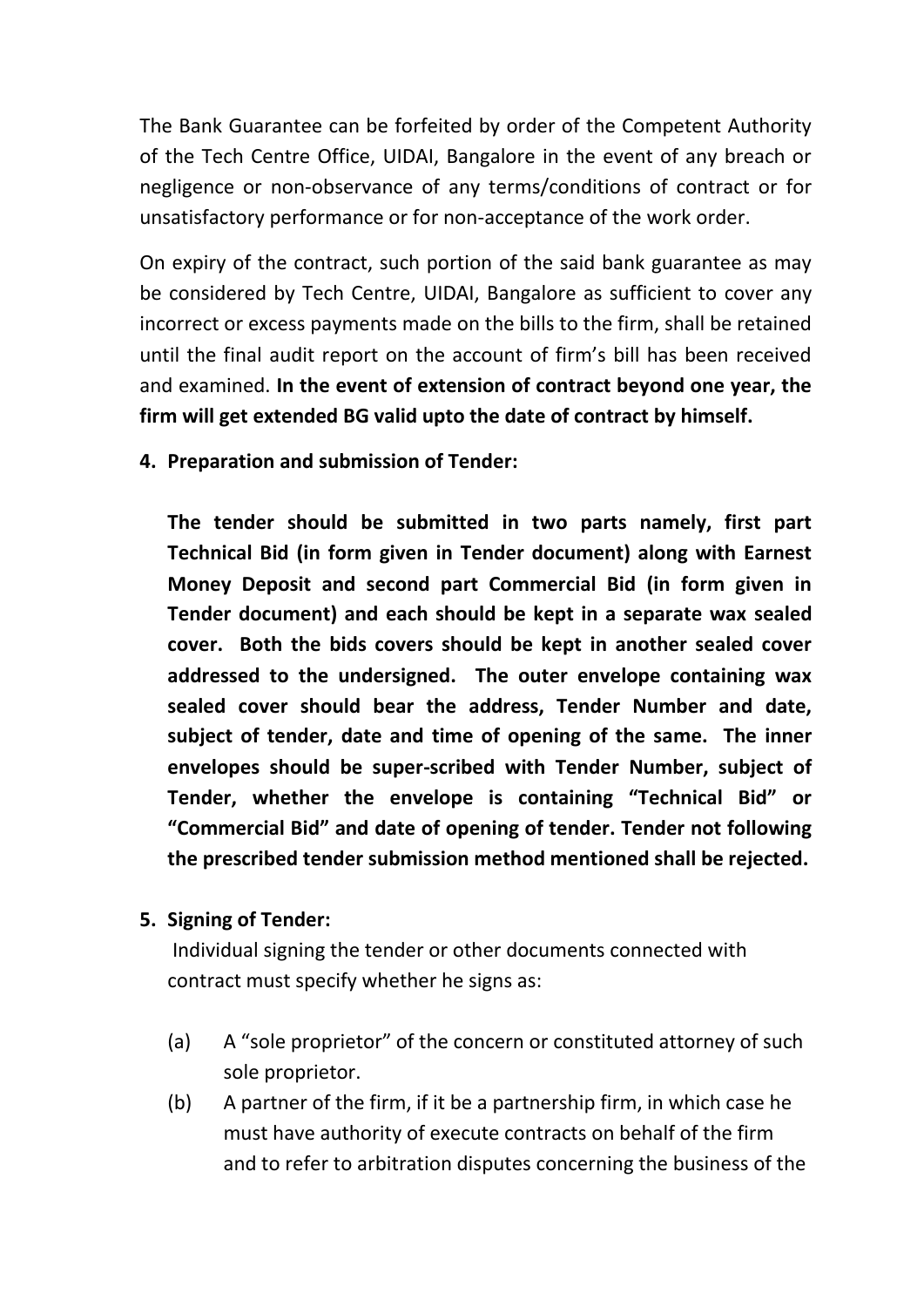The Bank Guarantee can be forfeited by order of the Competent Authority of the Tech Centre Office, UIDAI, Bangalore in the event of any breach or negligence or non-observance of any terms/conditions of contract or for unsatisfactory performance or for non-acceptance of the work order.

On expiry of the contract, such portion of the said bank guarantee as may be considered by Tech Centre, UIDAI, Bangalore as sufficient to cover any incorrect or excess payments made on the bills to the firm, shall be retained until the final audit report on the account of firm's bill has been received and examined. **In the event of extension of contract beyond one year, the firm will get extended BG valid upto the date of contract by himself.**

**4. Preparation and submission of Tender:**

**The tender should be submitted in two parts namely, first part Technical Bid (in form given in Tender document) along with Earnest Money Deposit and second part Commercial Bid (in form given in Tender document) and each should be kept in a separate wax sealed cover. Both the bids covers should be kept in another sealed cover addressed to the undersigned. The outer envelope containing wax sealed cover should bear the address, Tender Number and date, subject of tender, date and time of opening of the same. The inner envelopes should be super-scribed with Tender Number, subject of Tender, whether the envelope is containing "Technical Bid" or "Commercial Bid" and date of opening of tender. Tender not following the prescribed tender submission method mentioned shall be rejected.** 

## **5. Signing of Tender:**

Individual signing the tender or other documents connected with contract must specify whether he signs as:

- (a) A "sole proprietor" of the concern or constituted attorney of such sole proprietor.
- (b) A partner of the firm, if it be a partnership firm, in which case he must have authority of execute contracts on behalf of the firm and to refer to arbitration disputes concerning the business of the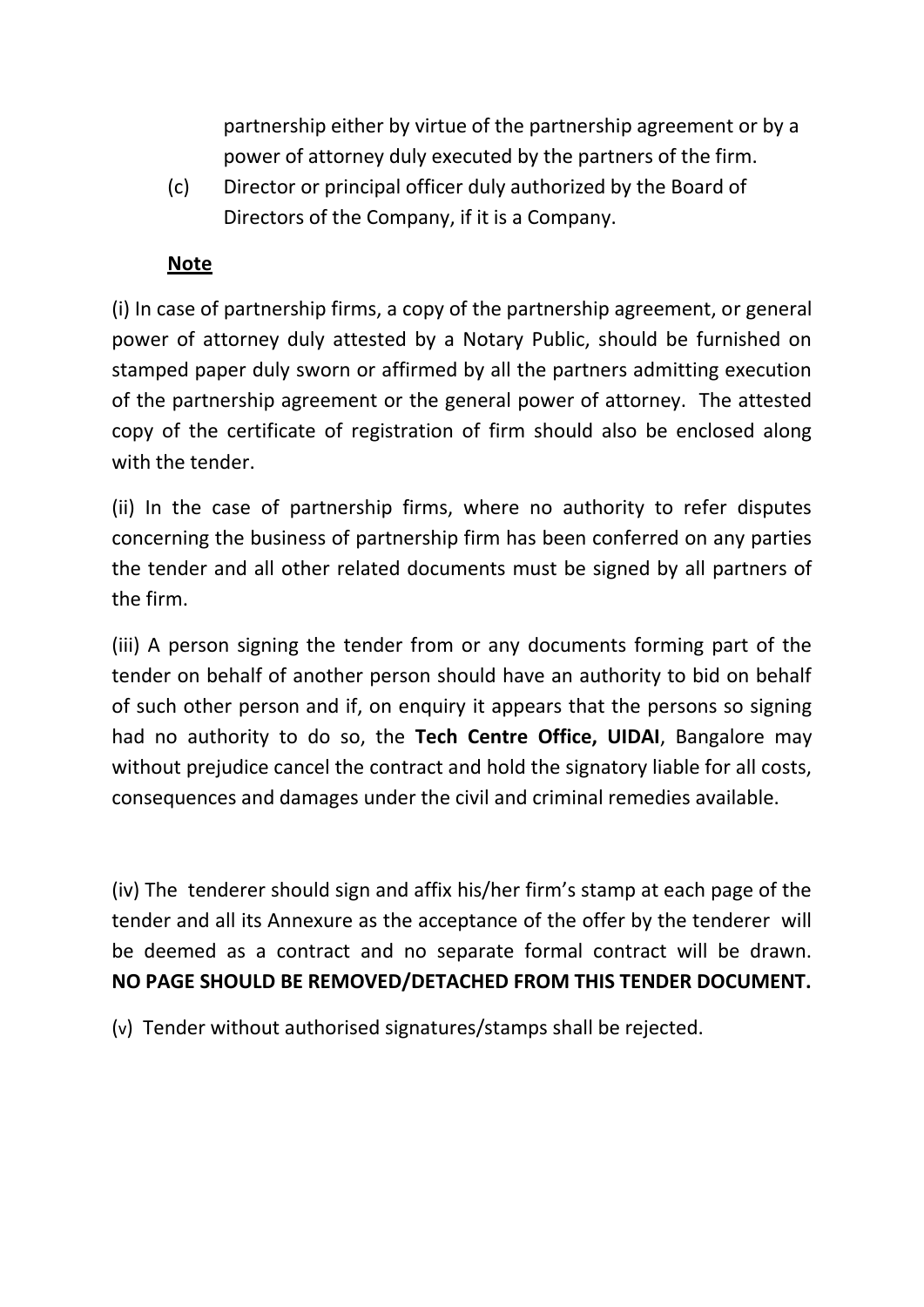partnership either by virtue of the partnership agreement or by a power of attorney duly executed by the partners of the firm.

(c) Director or principal officer duly authorized by the Board of Directors of the Company, if it is a Company.

## **Note**

(i) In case of partnership firms, a copy of the partnership agreement, or general power of attorney duly attested by a Notary Public, should be furnished on stamped paper duly sworn or affirmed by all the partners admitting execution of the partnership agreement or the general power of attorney. The attested copy of the certificate of registration of firm should also be enclosed along with the tender.

(ii) In the case of partnership firms, where no authority to refer disputes concerning the business of partnership firm has been conferred on any parties the tender and all other related documents must be signed by all partners of the firm.

(iii) A person signing the tender from or any documents forming part of the tender on behalf of another person should have an authority to bid on behalf of such other person and if, on enquiry it appears that the persons so signing had no authority to do so, the **Tech Centre Office, UIDAI**, Bangalore may without prejudice cancel the contract and hold the signatory liable for all costs, consequences and damages under the civil and criminal remedies available.

(iv) The tenderer should sign and affix his/her firm's stamp at each page of the tender and all its Annexure as the acceptance of the offer by the tenderer will be deemed as a contract and no separate formal contract will be drawn. **NO PAGE SHOULD BE REMOVED/DETACHED FROM THIS TENDER DOCUMENT.**

(v) Tender without authorised signatures/stamps shall be rejected.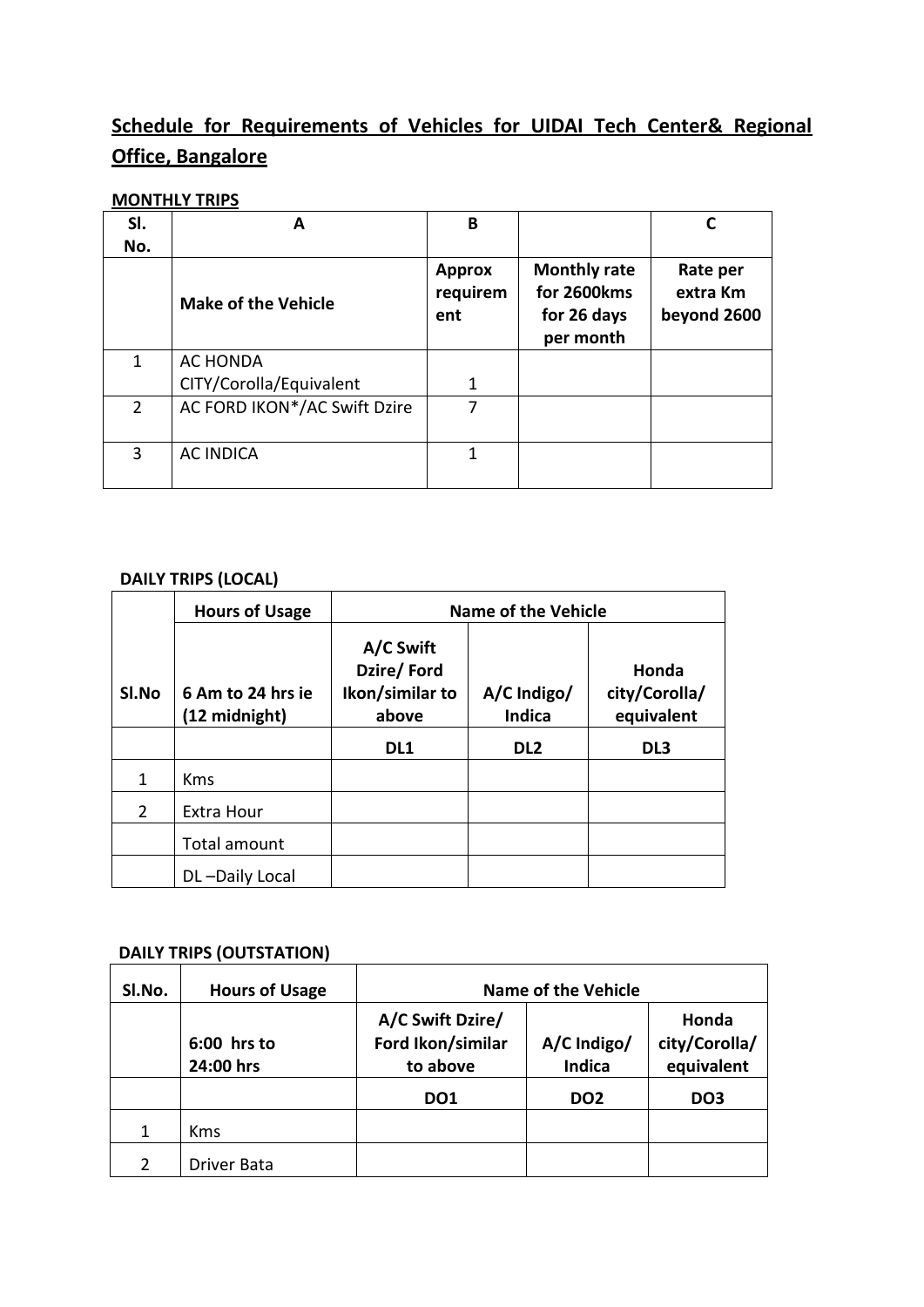## **Schedule for Requirements of Vehicles for UIDAI Tech Center& Regional Office, Bangalore**

## **MONTHLY TRIPS**

| SI.            |                              | B                                |                                                                |                                     |
|----------------|------------------------------|----------------------------------|----------------------------------------------------------------|-------------------------------------|
| No.            |                              |                                  |                                                                |                                     |
|                | <b>Make of the Vehicle</b>   | <b>Approx</b><br>requirem<br>ent | <b>Monthly rate</b><br>for 2600kms<br>for 26 days<br>per month | Rate per<br>extra Km<br>beyond 2600 |
| 1              | AC HONDA                     |                                  |                                                                |                                     |
|                | CITY/Corolla/Equivalent      |                                  |                                                                |                                     |
| $\overline{2}$ | AC FORD IKON*/AC Swift Dzire |                                  |                                                                |                                     |
| 3              | <b>AC INDICA</b>             | 1                                |                                                                |                                     |

#### **DAILY TRIPS (LOCAL)**

|               | <b>Hours of Usage</b>              | <b>Name of the Vehicle</b>                          |                              |                                      |  |
|---------------|------------------------------------|-----------------------------------------------------|------------------------------|--------------------------------------|--|
| SI.No         | 6 Am to 24 hrs ie<br>(12 midnight) | A/C Swift<br>Dzire/Ford<br>Ikon/similar to<br>above | A/C Indigo/<br><b>Indica</b> | Honda<br>city/Corolla/<br>equivalent |  |
|               |                                    | DL <sub>1</sub>                                     | DL <sub>2</sub>              | DL <sub>3</sub>                      |  |
| 1             | <b>Kms</b>                         |                                                     |                              |                                      |  |
| $\mathcal{P}$ | Extra Hour                         |                                                     |                              |                                      |  |
|               | Total amount                       |                                                     |                              |                                      |  |
|               | DL-Daily Local                     |                                                     |                              |                                      |  |

### **DAILY TRIPS (OUTSTATION)**

| SI.No. | <b>Hours of Usage</b>    | <b>Name of the Vehicle</b>                        |                              |                                      |
|--------|--------------------------|---------------------------------------------------|------------------------------|--------------------------------------|
|        | 6:00 hrs to<br>24:00 hrs | A/C Swift Dzire/<br>Ford Ikon/similar<br>to above | A/C Indigo/<br><b>Indica</b> | Honda<br>city/Corolla/<br>equivalent |
|        |                          | DO <sub>1</sub>                                   | DO <sub>2</sub>              | DO <sub>3</sub>                      |
| 1      | <b>Kms</b>               |                                                   |                              |                                      |
|        | <b>Driver Bata</b>       |                                                   |                              |                                      |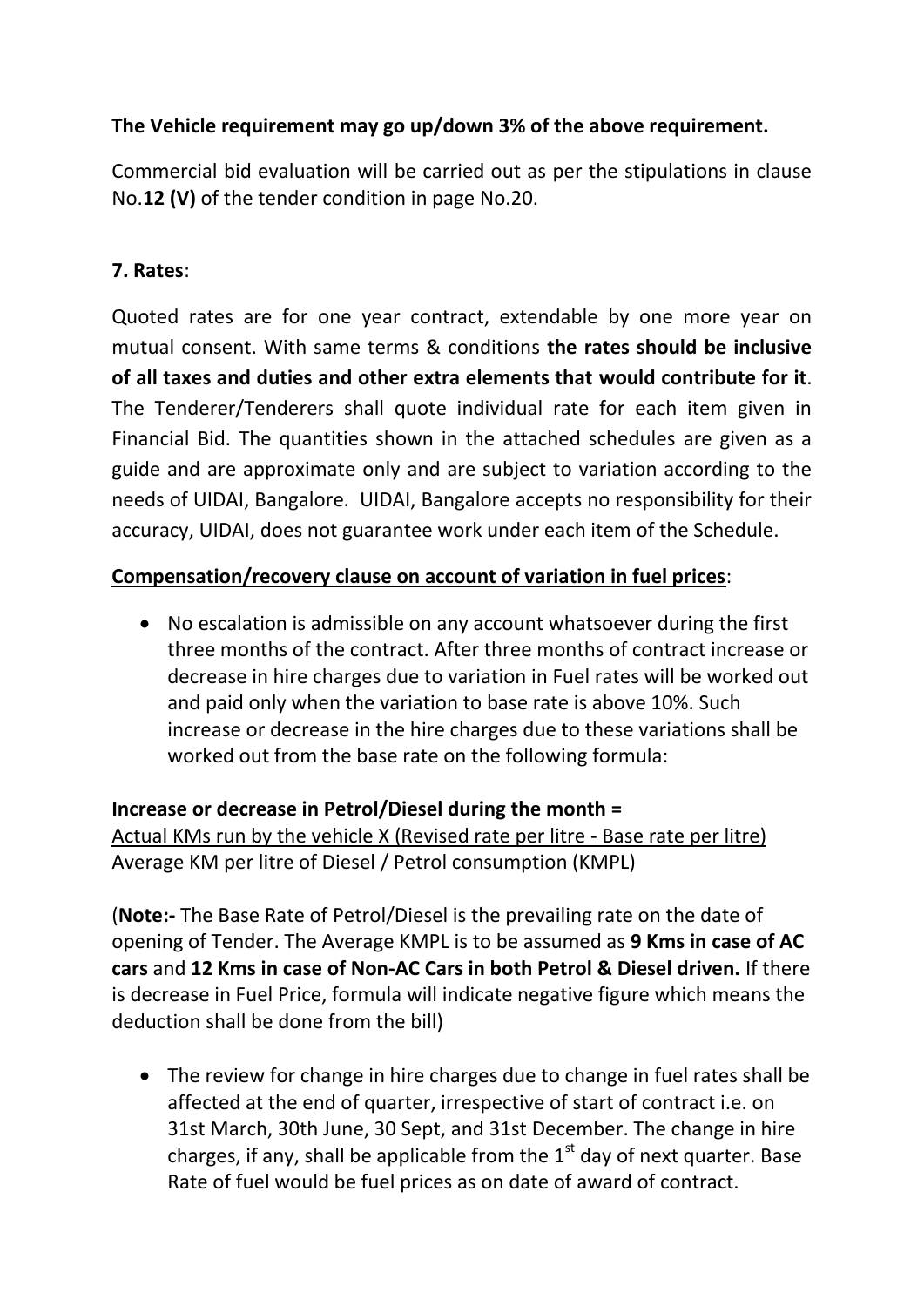## **The Vehicle requirement may go up/down 3% of the above requirement.**

Commercial bid evaluation will be carried out as per the stipulations in clause No.**12 (V)** of the tender condition in page No.20.

## **7. Rates**:

Quoted rates are for one year contract, extendable by one more year on mutual consent. With same terms & conditions **the rates should be inclusive of all taxes and duties and other extra elements that would contribute for it**. The Tenderer/Tenderers shall quote individual rate for each item given in Financial Bid. The quantities shown in the attached schedules are given as a guide and are approximate only and are subject to variation according to the needs of UIDAI, Bangalore. UIDAI, Bangalore accepts no responsibility for their accuracy, UIDAI, does not guarantee work under each item of the Schedule.

## **Compensation/recovery clause on account of variation in fuel prices**:

 No escalation is admissible on any account whatsoever during the first three months of the contract. After three months of contract increase or decrease in hire charges due to variation in Fuel rates will be worked out and paid only when the variation to base rate is above 10%. Such increase or decrease in the hire charges due to these variations shall be worked out from the base rate on the following formula:

**Increase or decrease in Petrol/Diesel during the month =**  Actual KMs run by the vehicle X (Revised rate per litre - Base rate per litre) Average KM per litre of Diesel / Petrol consumption (KMPL)

(**Note:-** The Base Rate of Petrol/Diesel is the prevailing rate on the date of opening of Tender. The Average KMPL is to be assumed as **9 Kms in case of AC cars** and **12 Kms in case of Non-AC Cars in both Petrol & Diesel driven.** If there is decrease in Fuel Price, formula will indicate negative figure which means the deduction shall be done from the bill)

• The review for change in hire charges due to change in fuel rates shall be affected at the end of quarter, irrespective of start of contract i.e. on 31st March, 30th June, 30 Sept, and 31st December. The change in hire charges, if any, shall be applicable from the  $1<sup>st</sup>$  day of next quarter. Base Rate of fuel would be fuel prices as on date of award of contract.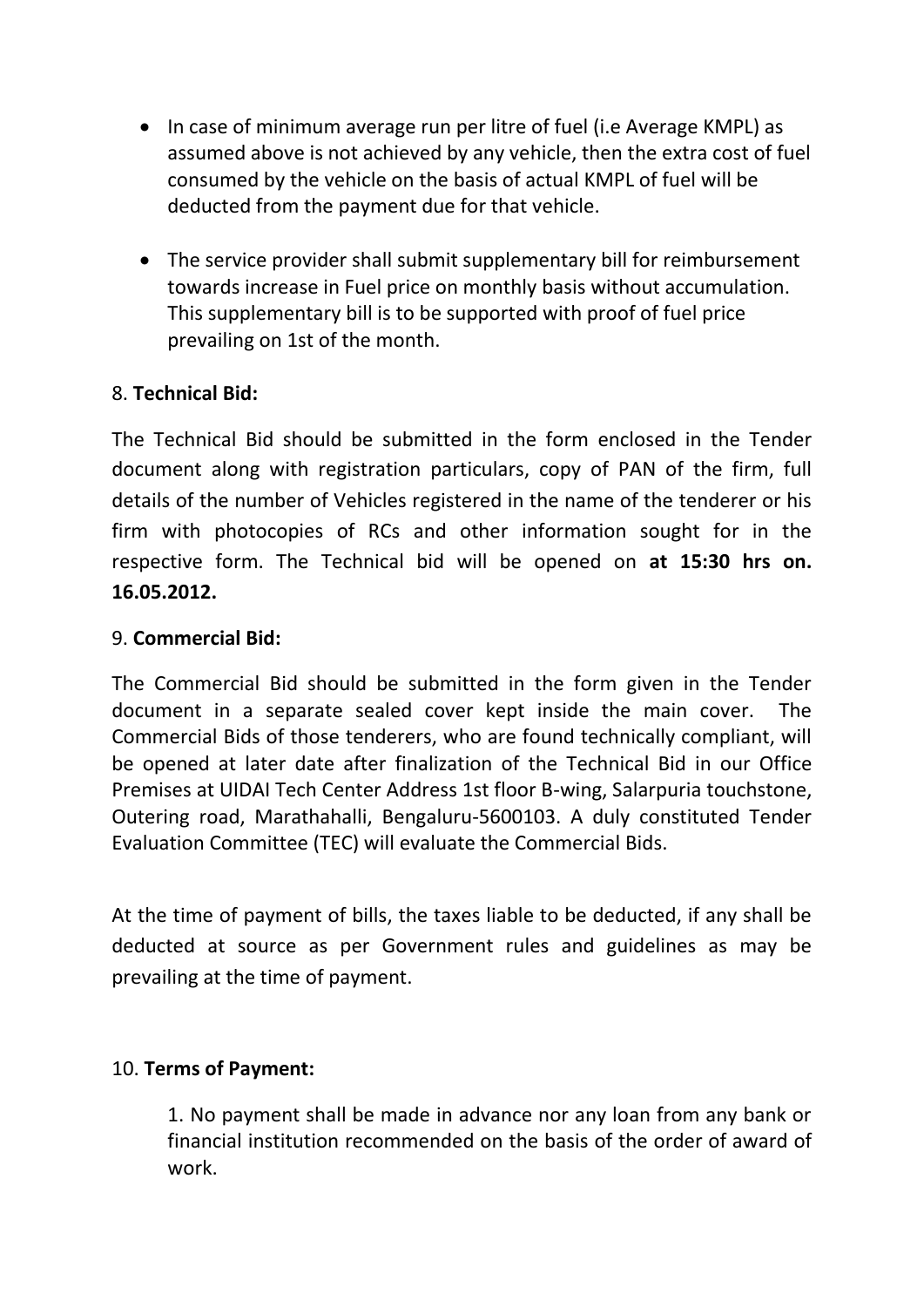- In case of minimum average run per litre of fuel (i.e Average KMPL) as assumed above is not achieved by any vehicle, then the extra cost of fuel consumed by the vehicle on the basis of actual KMPL of fuel will be deducted from the payment due for that vehicle.
- The service provider shall submit supplementary bill for reimbursement towards increase in Fuel price on monthly basis without accumulation. This supplementary bill is to be supported with proof of fuel price prevailing on 1st of the month.

## 8. **Technical Bid:**

The Technical Bid should be submitted in the form enclosed in the Tender document along with registration particulars, copy of PAN of the firm, full details of the number of Vehicles registered in the name of the tenderer or his firm with photocopies of RCs and other information sought for in the respective form. The Technical bid will be opened on **at 15:30 hrs on. 16.05.2012.**

## 9. **Commercial Bid:**

The Commercial Bid should be submitted in the form given in the Tender document in a separate sealed cover kept inside the main cover. The Commercial Bids of those tenderers, who are found technically compliant, will be opened at later date after finalization of the Technical Bid in our Office Premises at UIDAI Tech Center Address 1st floor B-wing, Salarpuria touchstone, Outering road, Marathahalli, Bengaluru-5600103. A duly constituted Tender Evaluation Committee (TEC) will evaluate the Commercial Bids.

At the time of payment of bills, the taxes liable to be deducted, if any shall be deducted at source as per Government rules and guidelines as may be prevailing at the time of payment.

## 10. **Terms of Payment:**

1. No payment shall be made in advance nor any loan from any bank or financial institution recommended on the basis of the order of award of work.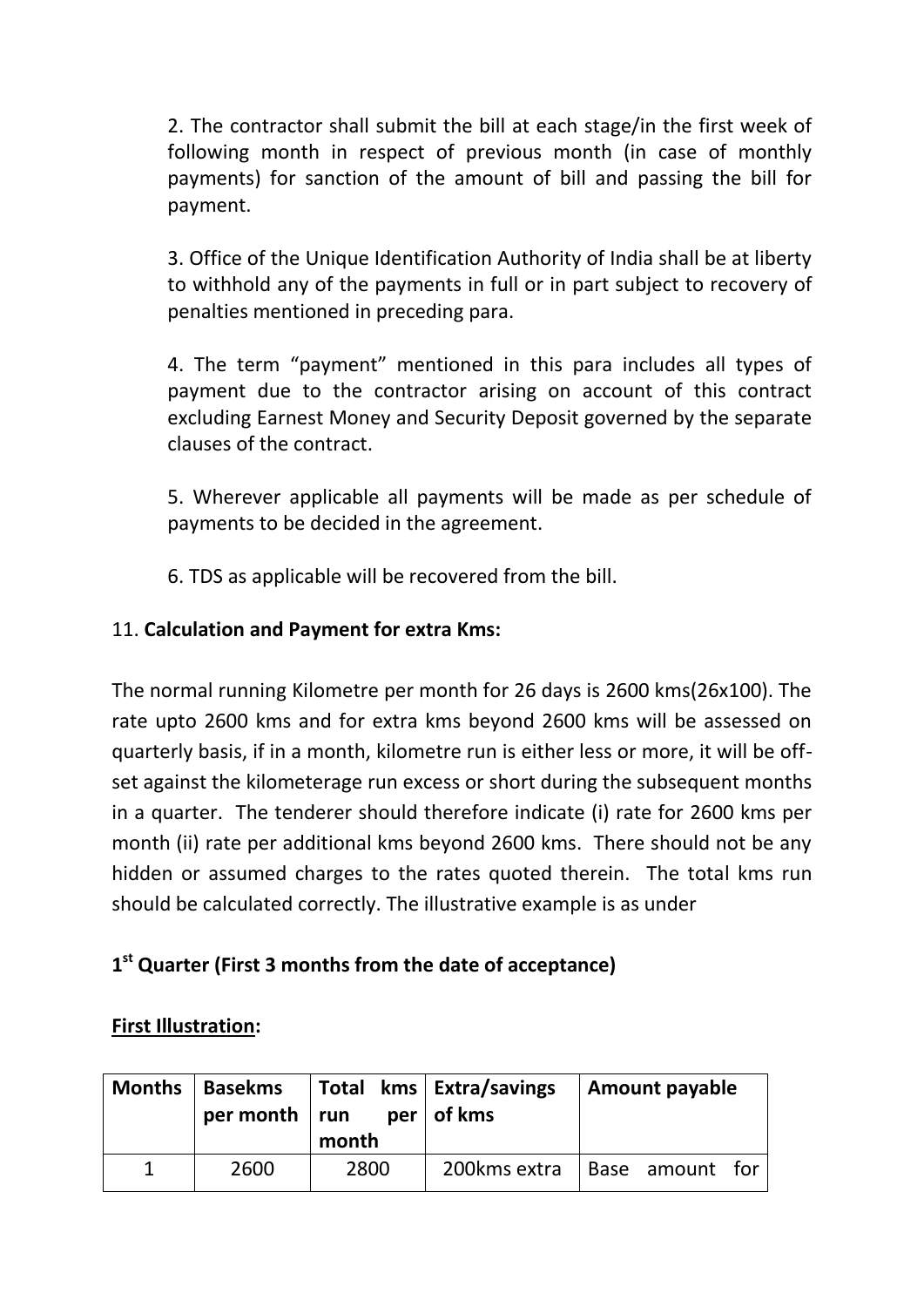2. The contractor shall submit the bill at each stage/in the first week of following month in respect of previous month (in case of monthly payments) for sanction of the amount of bill and passing the bill for payment.

3. Office of the Unique Identification Authority of India shall be at liberty to withhold any of the payments in full or in part subject to recovery of penalties mentioned in preceding para.

4. The term "payment" mentioned in this para includes all types of payment due to the contractor arising on account of this contract excluding Earnest Money and Security Deposit governed by the separate clauses of the contract.

5. Wherever applicable all payments will be made as per schedule of payments to be decided in the agreement.

6. TDS as applicable will be recovered from the bill.

## 11. **Calculation and Payment for extra Kms:**

The normal running Kilometre per month for 26 days is 2600 kms(26x100). The rate upto 2600 kms and for extra kms beyond 2600 kms will be assessed on quarterly basis, if in a month, kilometre run is either less or more, it will be offset against the kilometerage run excess or short during the subsequent months in a quarter. The tenderer should therefore indicate (i) rate for 2600 kms per month (ii) rate per additional kms beyond 2600 kms. There should not be any hidden or assumed charges to the rates quoted therein. The total kms run should be calculated correctly. The illustrative example is as under

## **1 st Quarter (First 3 months from the date of acceptance)**

## **First Illustration:**

| <b>Months</b> | <b>Basekms</b><br>per month $ $ run | month | Total kms   Extra/savings<br>$per \ of \ kms$ | <b>Amount payable</b> |
|---------------|-------------------------------------|-------|-----------------------------------------------|-----------------------|
|               | 2600                                | 2800  | 200kms extra                                  | Base amount for       |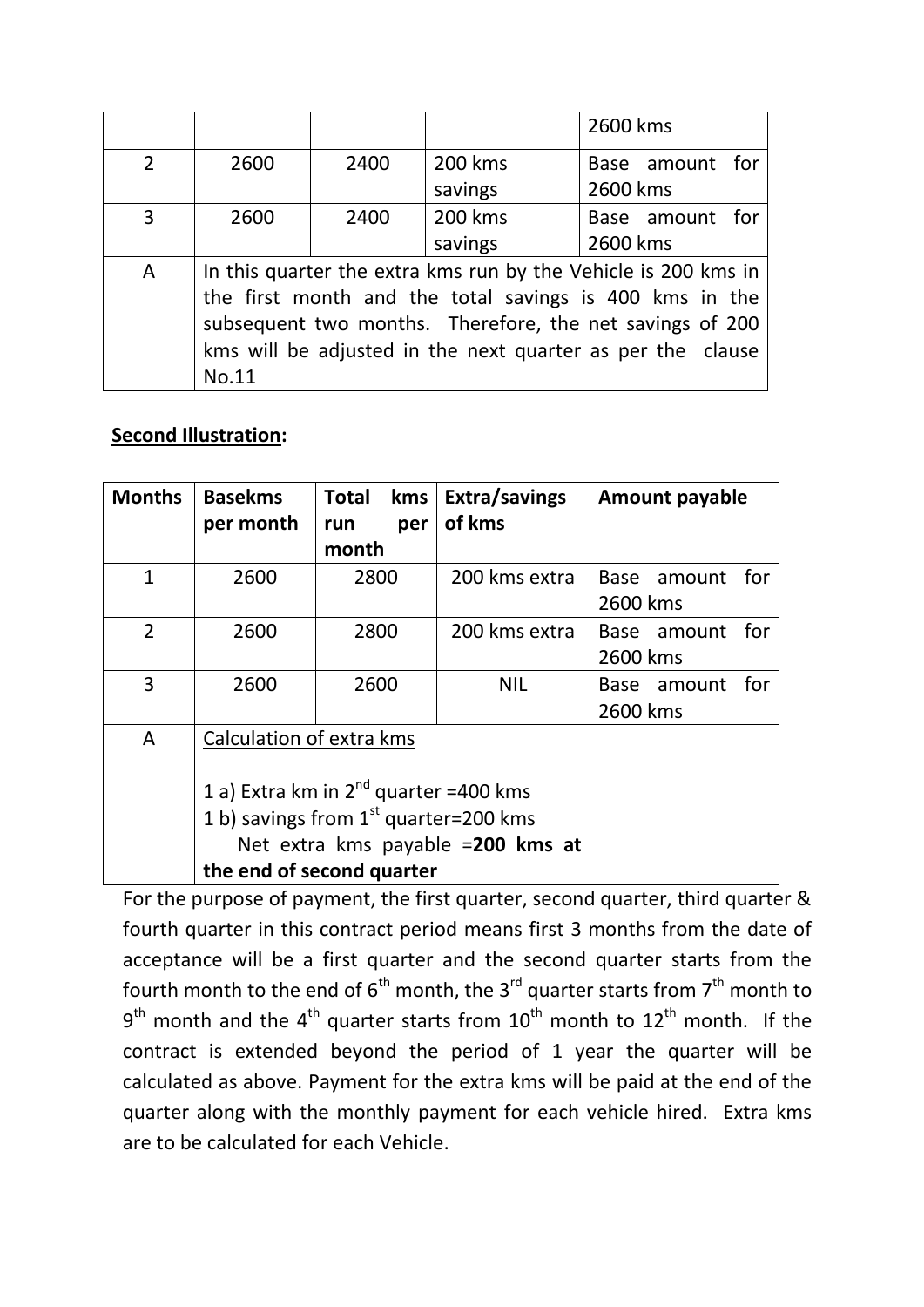|                |                                                          |      |         | 2600 kms                                                       |  |
|----------------|----------------------------------------------------------|------|---------|----------------------------------------------------------------|--|
| $\overline{2}$ | 2600                                                     | 2400 | 200 kms | Base amount for                                                |  |
|                |                                                          |      | savings | 2600 kms                                                       |  |
| $\overline{3}$ | 2600                                                     | 2400 | 200 kms | Base amount for                                                |  |
|                |                                                          |      | savings | 2600 kms                                                       |  |
| A              |                                                          |      |         | In this quarter the extra kms run by the Vehicle is 200 kms in |  |
|                |                                                          |      |         | the first month and the total savings is 400 kms in the        |  |
|                | subsequent two months. Therefore, the net savings of 200 |      |         |                                                                |  |
|                |                                                          |      |         | kms will be adjusted in the next quarter as per the clause     |  |
|                | No.11                                                    |      |         |                                                                |  |

## **Second Illustration:**

| <b>Months</b>  | <b>Basekms</b><br>per month | kms<br>Total<br>per<br>run<br>month                                                                                                 | Extra/savings<br>of kms           | <b>Amount payable</b>          |
|----------------|-----------------------------|-------------------------------------------------------------------------------------------------------------------------------------|-----------------------------------|--------------------------------|
| $\mathbf{1}$   | 2600                        | 2800                                                                                                                                | 200 kms extra                     | Base amount<br>tor<br>2600 kms |
| $\overline{2}$ | 2600                        | 2800                                                                                                                                | 200 kms extra                     | Base amount<br>for<br>2600 kms |
| 3              | 2600                        | 2600                                                                                                                                | <b>NIL</b>                        | for<br>Base amount<br>2600 kms |
| A              | Calculation of extra kms    | 1 a) Extra km in 2 <sup>nd</sup> quarter =400 kms<br>1 b) savings from 1 <sup>st</sup> quarter=200 kms<br>the end of second quarter | Net extra kms payable =200 kms at |                                |

For the purpose of payment, the first quarter, second quarter, third quarter & fourth quarter in this contract period means first 3 months from the date of acceptance will be a first quarter and the second quarter starts from the fourth month to the end of  $6<sup>th</sup>$  month, the 3<sup>rd</sup> quarter starts from 7<sup>th</sup> month to  $9<sup>th</sup>$  month and the 4<sup>th</sup> quarter starts from  $10<sup>th</sup>$  month to  $12<sup>th</sup>$  month. If the contract is extended beyond the period of 1 year the quarter will be calculated as above. Payment for the extra kms will be paid at the end of the quarter along with the monthly payment for each vehicle hired. Extra kms are to be calculated for each Vehicle.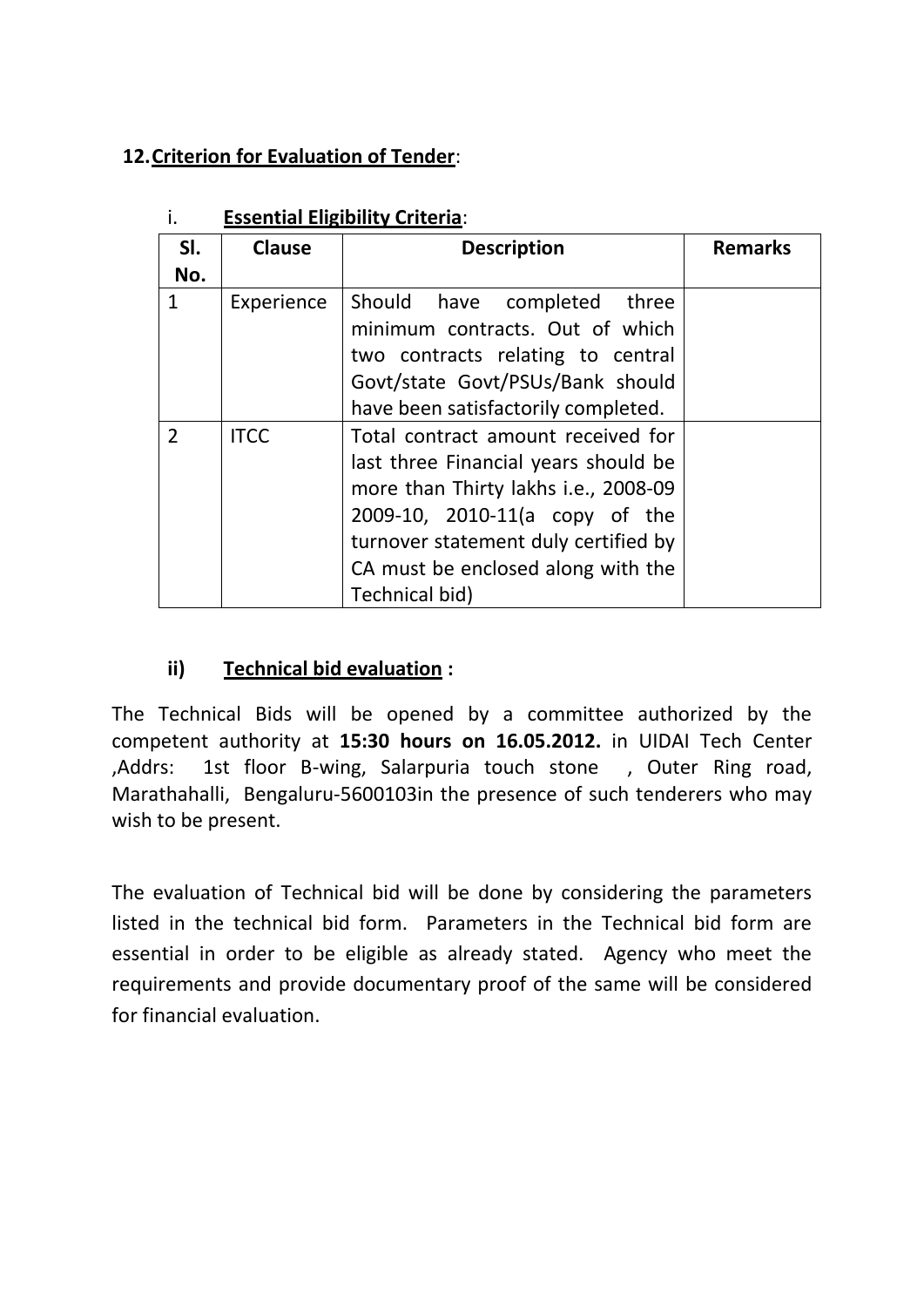## **12.Criterion for Evaluation of Tender**:

| SI.<br>No.    | <b>Clause</b> | <b>Description</b>                                                                                                                                                                                                                                   | <b>Remarks</b> |
|---------------|---------------|------------------------------------------------------------------------------------------------------------------------------------------------------------------------------------------------------------------------------------------------------|----------------|
| $\mathbf{1}$  | Experience    | Should have completed three<br>minimum contracts. Out of which<br>two contracts relating to central<br>Govt/state Govt/PSUs/Bank should<br>have been satisfactorily completed.                                                                       |                |
| $\mathcal{P}$ | <b>ITCC</b>   | Total contract amount received for<br>last three Financial years should be<br>more than Thirty lakhs i.e., 2008-09<br>2009-10, 2010-11(a copy of the<br>turnover statement duly certified by<br>CA must be enclosed along with the<br>Technical bid) |                |

## i. **Essential Eligibility Criteria**:

## **ii) Technical bid evaluation :**

The Technical Bids will be opened by a committee authorized by the competent authority at **15:30 hours on 16.05.2012.** in UIDAI Tech Center ,Addrs: 1st floor B-wing, Salarpuria touch stone , Outer Ring road, Marathahalli, Bengaluru-5600103in the presence of such tenderers who may wish to be present.

The evaluation of Technical bid will be done by considering the parameters listed in the technical bid form. Parameters in the Technical bid form are essential in order to be eligible as already stated. Agency who meet the requirements and provide documentary proof of the same will be considered for financial evaluation.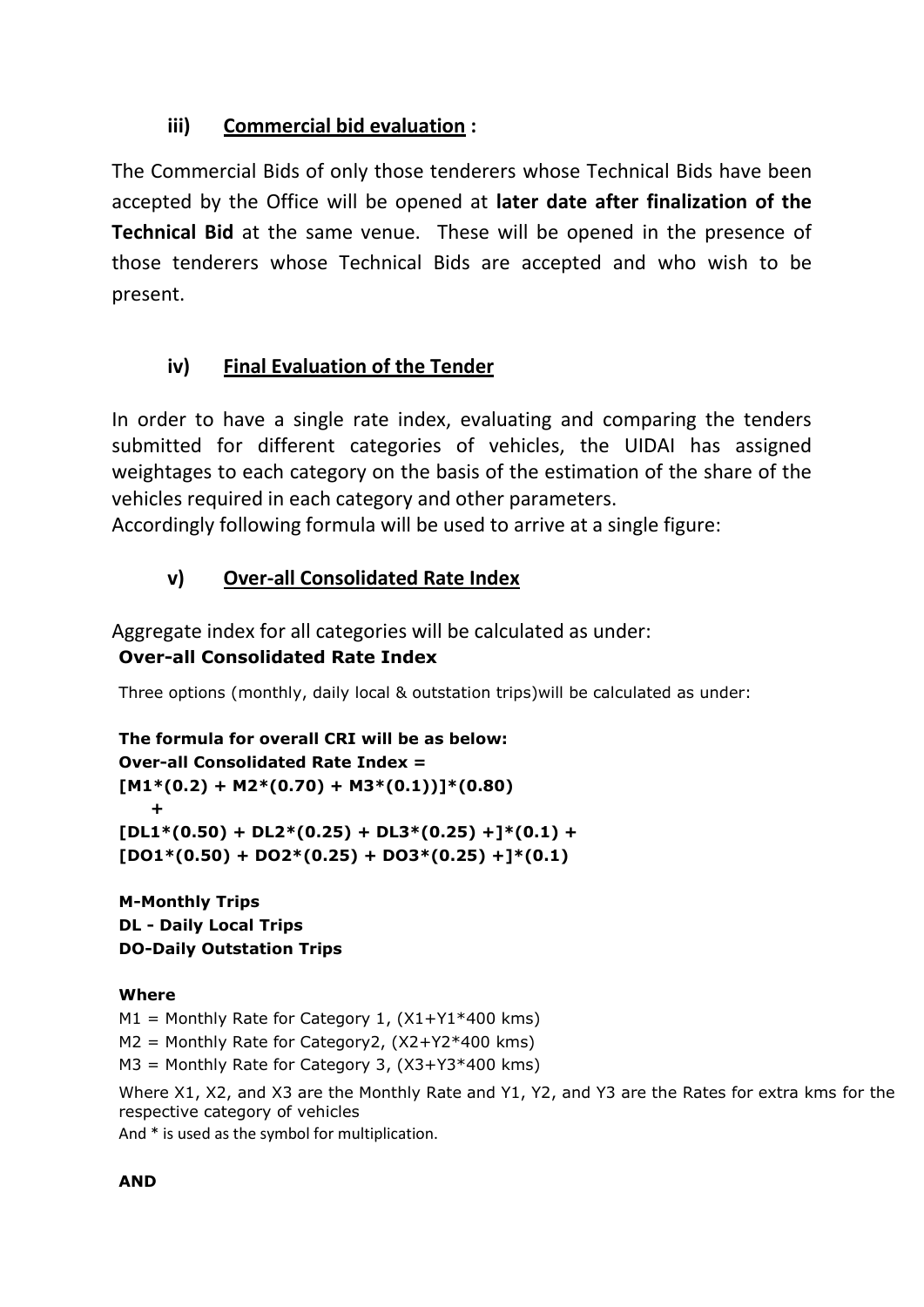## **iii) Commercial bid evaluation :**

The Commercial Bids of only those tenderers whose Technical Bids have been accepted by the Office will be opened at **later date after finalization of the Technical Bid** at the same venue. These will be opened in the presence of those tenderers whose Technical Bids are accepted and who wish to be present.

## **iv) Final Evaluation of the Tender**

In order to have a single rate index, evaluating and comparing the tenders submitted for different categories of vehicles, the UIDAI has assigned weightages to each category on the basis of the estimation of the share of the vehicles required in each category and other parameters.

Accordingly following formula will be used to arrive at a single figure:

## **v) Over-all Consolidated Rate Index**

Aggregate index for all categories will be calculated as under: **Over-all Consolidated Rate Index**

Three options (monthly, daily local & outstation trips)will be calculated as under:

```
The formula for overall CRI will be as below: 
Over-all Consolidated Rate Index = 
[M1*(0.2) + M2*(0.70) + M3*(0.1))]*(0.80) +
[DL1*(0.50) + DL2*(0.25) + DL3*(0.25) +]*(0.1) +
[DO1*(0.50) + DO2*(0.25) + DO3*(0.25) +]*(0.1)
```
**M-Monthly Trips DL - Daily Local Trips DO-Daily Outstation Trips**

## **Where**

 $M1$  = Monthly Rate for Category 1,  $(X1+Y1*400 \text{ km s})$ 

M2 = Monthly Rate for Category2, (X2+Y2\*400 kms)

M3 = Monthly Rate for Category 3, (X3+Y3\*400 kms)

Where X1, X2, and X3 are the Monthly Rate and Y1, Y2, and Y3 are the Rates for extra kms for the respective category of vehicles

And \* is used as the symbol for multiplication.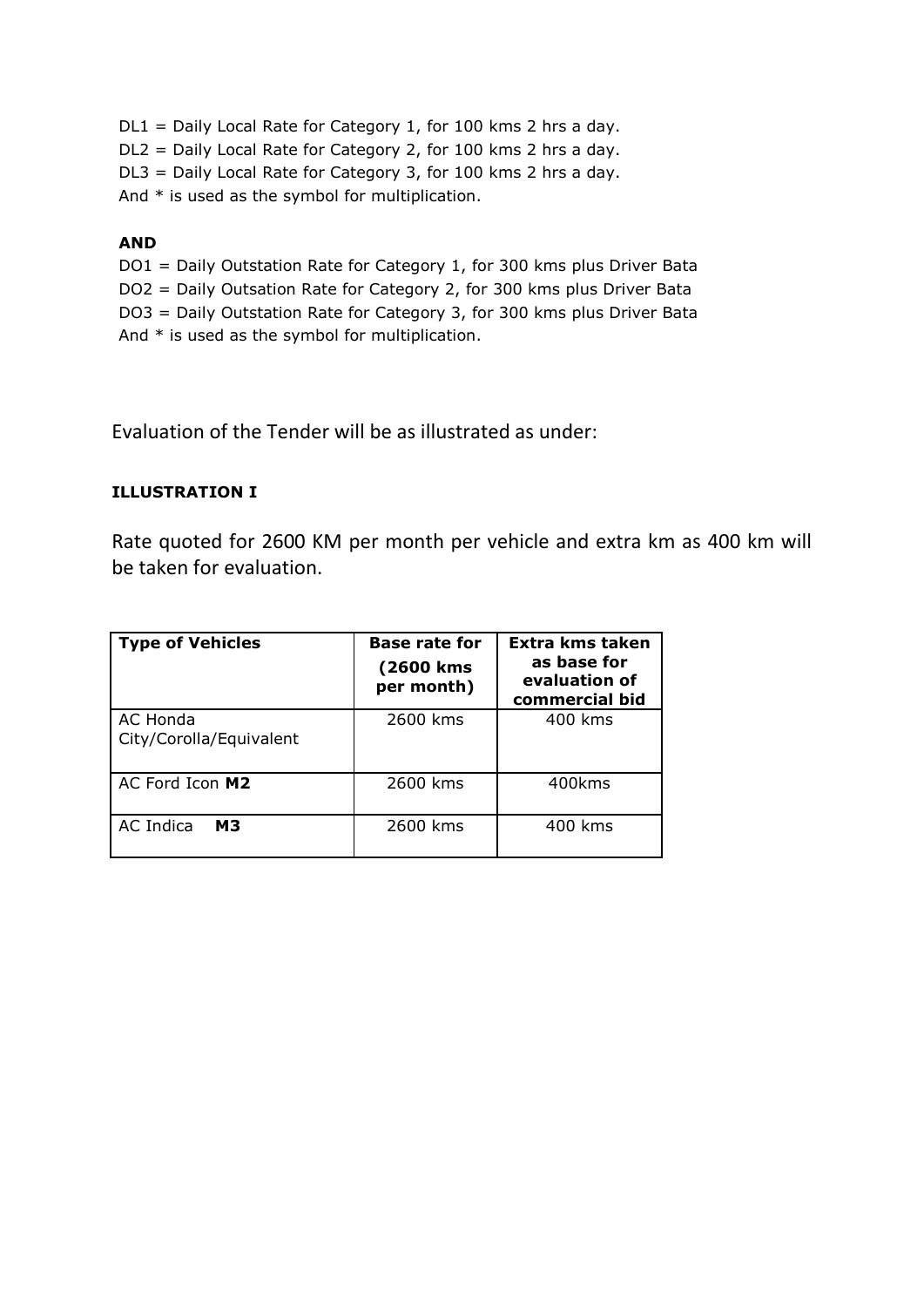DL1 = Daily Local Rate for Category 1, for 100 kms 2 hrs a day. DL2 = Daily Local Rate for Category 2, for 100 kms 2 hrs a day. DL3 = Daily Local Rate for Category 3, for 100 kms 2 hrs a day. And  $*$  is used as the symbol for multiplication.

#### **AND**

DO1 = Daily Outstation Rate for Category 1, for 300 kms plus Driver Bata DO2 = Daily Outsation Rate for Category 2, for 300 kms plus Driver Bata DO3 = Daily Outstation Rate for Category 3, for 300 kms plus Driver Bata And  $*$  is used as the symbol for multiplication.

Evaluation of the Tender will be as illustrated as under:

#### **ILLUSTRATION I**

Rate quoted for 2600 KM per month per vehicle and extra km as 400 km will be taken for evaluation.

| <b>Type of Vehicles</b>             | <b>Base rate for</b><br>(2600 kms<br>per month) | Extra kms taken<br>as base for<br>evaluation of<br>commercial bid |  |
|-------------------------------------|-------------------------------------------------|-------------------------------------------------------------------|--|
| AC Honda<br>City/Corolla/Equivalent | 2600 kms                                        | 400 kms                                                           |  |
| AC Ford Icon M2                     | 2600 kms                                        | 400kms                                                            |  |
| AC Indica<br><b>M3</b>              | 2600 kms                                        | 400 kms                                                           |  |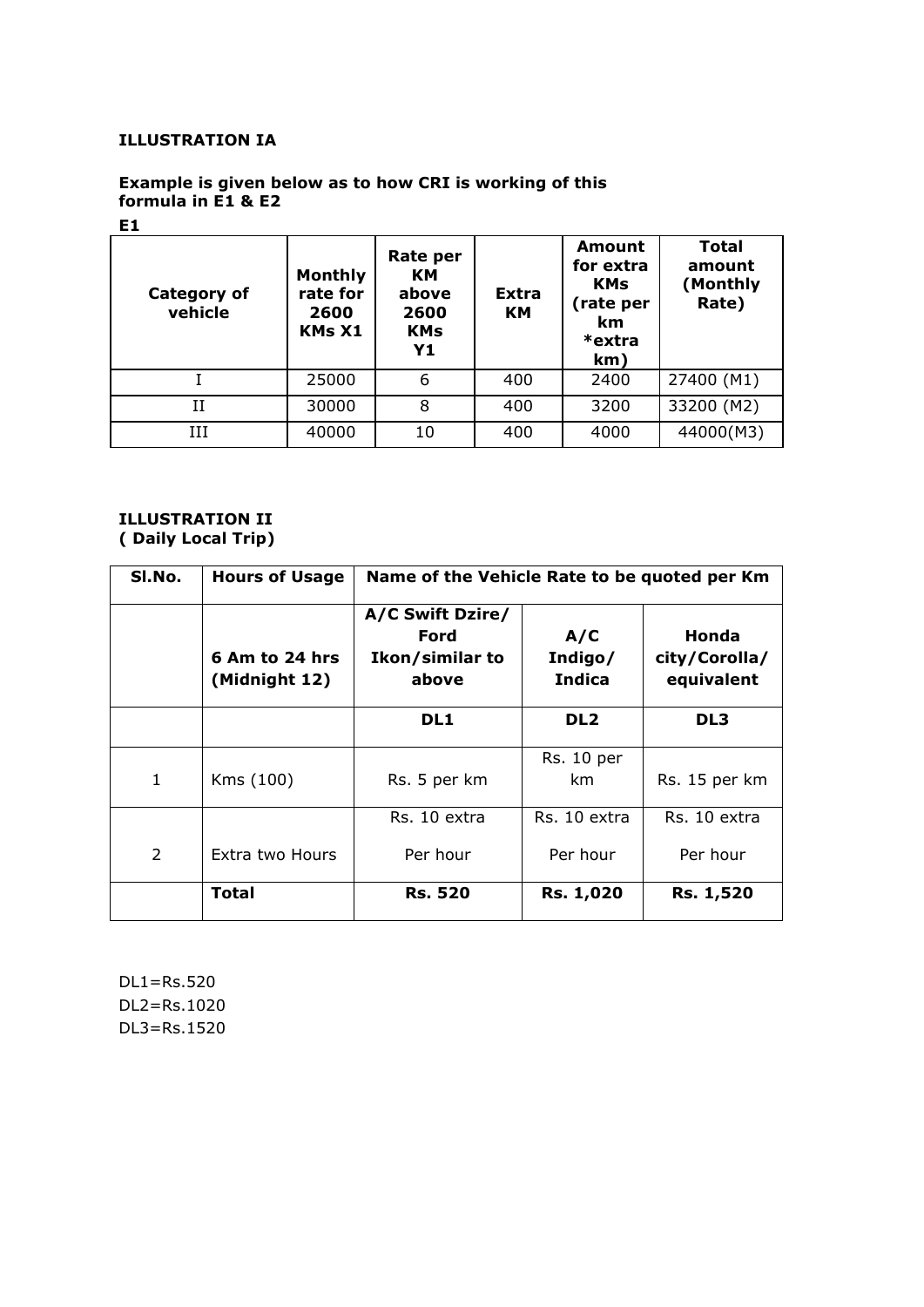#### **ILLUSTRATION IA**

#### **Example is given below as to how CRI is working of this formula in E1 & E2**

#### **E1**

| <b>Category of</b><br>vehicle | <b>Monthly</b><br>rate for<br>2600<br><b>KMs X1</b> | Rate per<br>KM<br>above<br>2600<br><b>KMs</b><br>Υ1 | <b>Extra</b><br>KМ | Amount<br>for extra<br><b>KMs</b><br>(rate per<br>km<br>*extra<br>km) | <b>Total</b><br>amount<br>(Monthly<br>Rate) |
|-------------------------------|-----------------------------------------------------|-----------------------------------------------------|--------------------|-----------------------------------------------------------------------|---------------------------------------------|
|                               | 25000                                               | 6                                                   | 400                | 2400                                                                  | 27400 (M1)                                  |
| H                             | 30000                                               | 8                                                   | 400                | 3200                                                                  | 33200 (M2)                                  |
| Ш                             | 40000                                               | 10                                                  | 400                | 4000                                                                  | 44000(M3)                                   |

#### **ILLUSTRATION II ( Daily Local Trip)**

| SI.No. | <b>Hours of Usage</b>           | Name of the Vehicle Rate to be quoted per Km         |                                 |                                      |
|--------|---------------------------------|------------------------------------------------------|---------------------------------|--------------------------------------|
|        | 6 Am to 24 hrs<br>(Midnight 12) | A/C Swift Dzire/<br>Ford<br>Ikon/similar to<br>above | A/C<br>Indigo/<br><b>Indica</b> | Honda<br>city/Corolla/<br>equivalent |
|        |                                 | DL1                                                  | DL <sub>2</sub>                 | DL3                                  |
| 1      | Kms (100)                       | Rs. 5 per km                                         | <b>Rs. 10 per</b><br>km.        | Rs. 15 per km                        |
|        |                                 | Rs. 10 extra                                         | Rs. 10 extra                    | Rs. 10 extra                         |
| 2      | Extra two Hours                 | Per hour                                             | Per hour                        | Per hour                             |
|        | Total                           | <b>Rs. 520</b>                                       | Rs. 1,020                       | Rs. 1,520                            |

DL1=Rs.520 DL2=Rs.1020 DL3=Rs.1520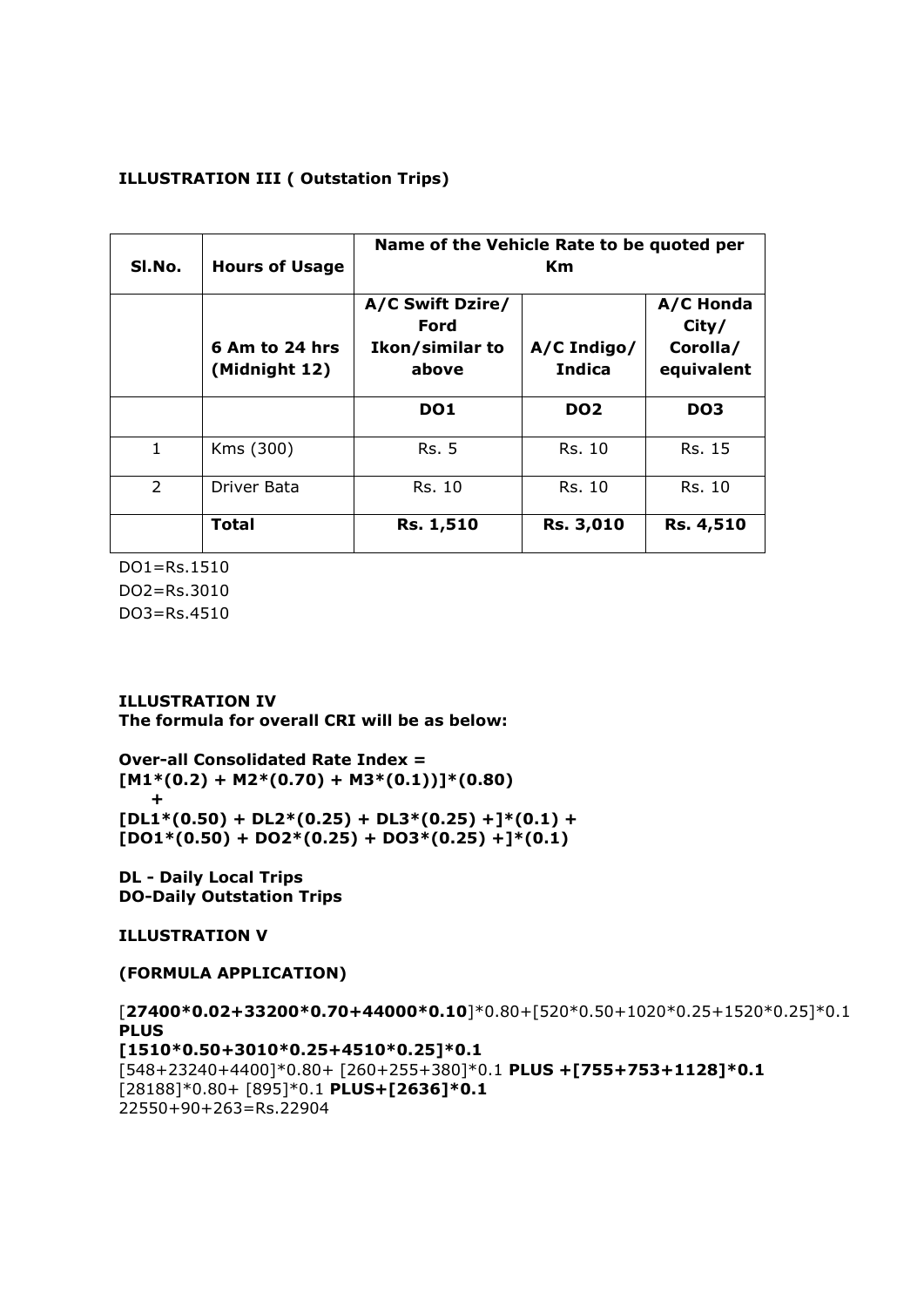#### **ILLUSTRATION III ( Outstation Trips)**

| SI.No.         | <b>Hours of Usage</b>           | Name of the Vehicle Rate to be quoted per<br>Km.     |                              |                                              |
|----------------|---------------------------------|------------------------------------------------------|------------------------------|----------------------------------------------|
|                | 6 Am to 24 hrs<br>(Midnight 12) | A/C Swift Dzire/<br>Ford<br>Ikon/similar to<br>above | A/C Indigo/<br><b>Indica</b> | A/C Honda<br>City/<br>Corolla/<br>equivalent |
|                |                                 | DO <sub>1</sub>                                      | DO <sub>2</sub>              | DO <sub>3</sub>                              |
| $\mathbf{1}$   | Kms (300)                       | Rs. 5                                                | Rs. 10                       | Rs. 15                                       |
| $\overline{2}$ | Driver Bata                     | Rs. 10                                               | Rs. 10                       | Rs. 10                                       |
|                | <b>Total</b>                    | Rs. 1,510                                            | Rs. 3,010                    | <b>Rs. 4,510</b>                             |

DO1=Rs.1510 DO2=Rs.3010 DO3=Rs.4510

#### **ILLUSTRATION IV**

**The formula for overall CRI will be as below:** 

**Over-all Consolidated Rate Index =**   $[M1*(0.2) + M2*(0.70) + M3*(0.1))]*(0.80)$  **+**  $[DL1*(0.50) + DL2*(0.25) + DL3*(0.25) +]<sup>*</sup>(0.1) +$  $[DO1*(0.50) + DO2*(0.25) + DO3*(0.25) +]<sup>*</sup>(0.1)$ 

**DL - Daily Local Trips DO-Daily Outstation Trips**

**ILLUSTRATION V** 

**(FORMULA APPLICATION)**

[**27400\*0.02+33200\*0.70+44000\*0.10**]\*0.80+[520\*0.50+1020\*0.25+1520\*0.25]\*0.1 **PLUS [1510\*0.50+3010\*0.25+4510\*0.25]\*0.1** [548+23240+4400]\*0.80+ [260+255+380]\*0.1 **PLUS +[755+753+1128]\*0.1** [28188]\*0.80+ [895]\*0.1 **PLUS+[2636]\*0.1** 22550+90+263=Rs.22904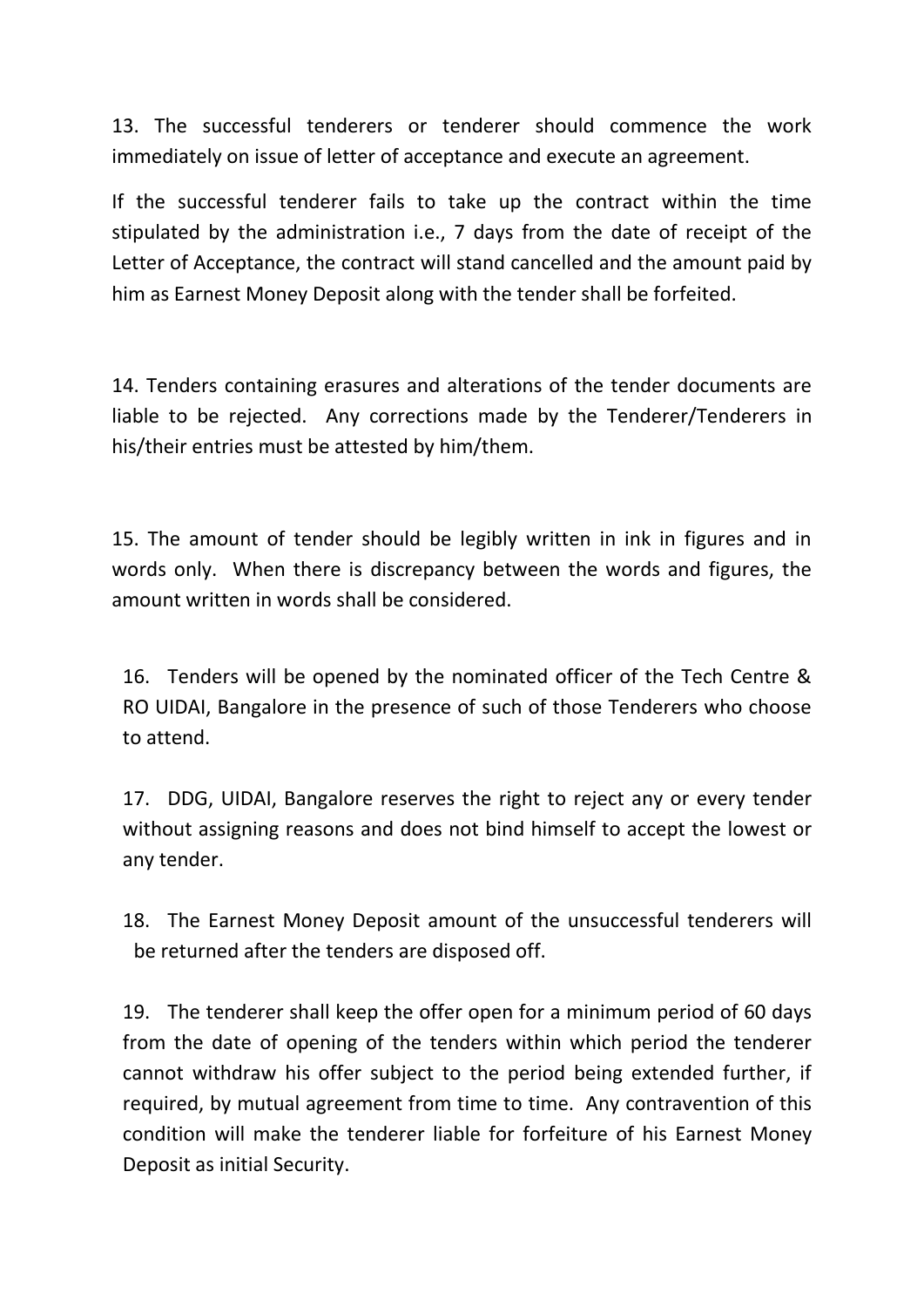13. The successful tenderers or tenderer should commence the work immediately on issue of letter of acceptance and execute an agreement.

If the successful tenderer fails to take up the contract within the time stipulated by the administration i.e., 7 days from the date of receipt of the Letter of Acceptance, the contract will stand cancelled and the amount paid by him as Earnest Money Deposit along with the tender shall be forfeited.

14. Tenders containing erasures and alterations of the tender documents are liable to be rejected. Any corrections made by the Tenderer/Tenderers in his/their entries must be attested by him/them.

15. The amount of tender should be legibly written in ink in figures and in words only. When there is discrepancy between the words and figures, the amount written in words shall be considered.

16. Tenders will be opened by the nominated officer of the Tech Centre & RO UIDAI, Bangalore in the presence of such of those Tenderers who choose to attend.

17. DDG, UIDAI, Bangalore reserves the right to reject any or every tender without assigning reasons and does not bind himself to accept the lowest or any tender.

18. The Earnest Money Deposit amount of the unsuccessful tenderers will be returned after the tenders are disposed off.

19. The tenderer shall keep the offer open for a minimum period of 60 days from the date of opening of the tenders within which period the tenderer cannot withdraw his offer subject to the period being extended further, if required, by mutual agreement from time to time. Any contravention of this condition will make the tenderer liable for forfeiture of his Earnest Money Deposit as initial Security.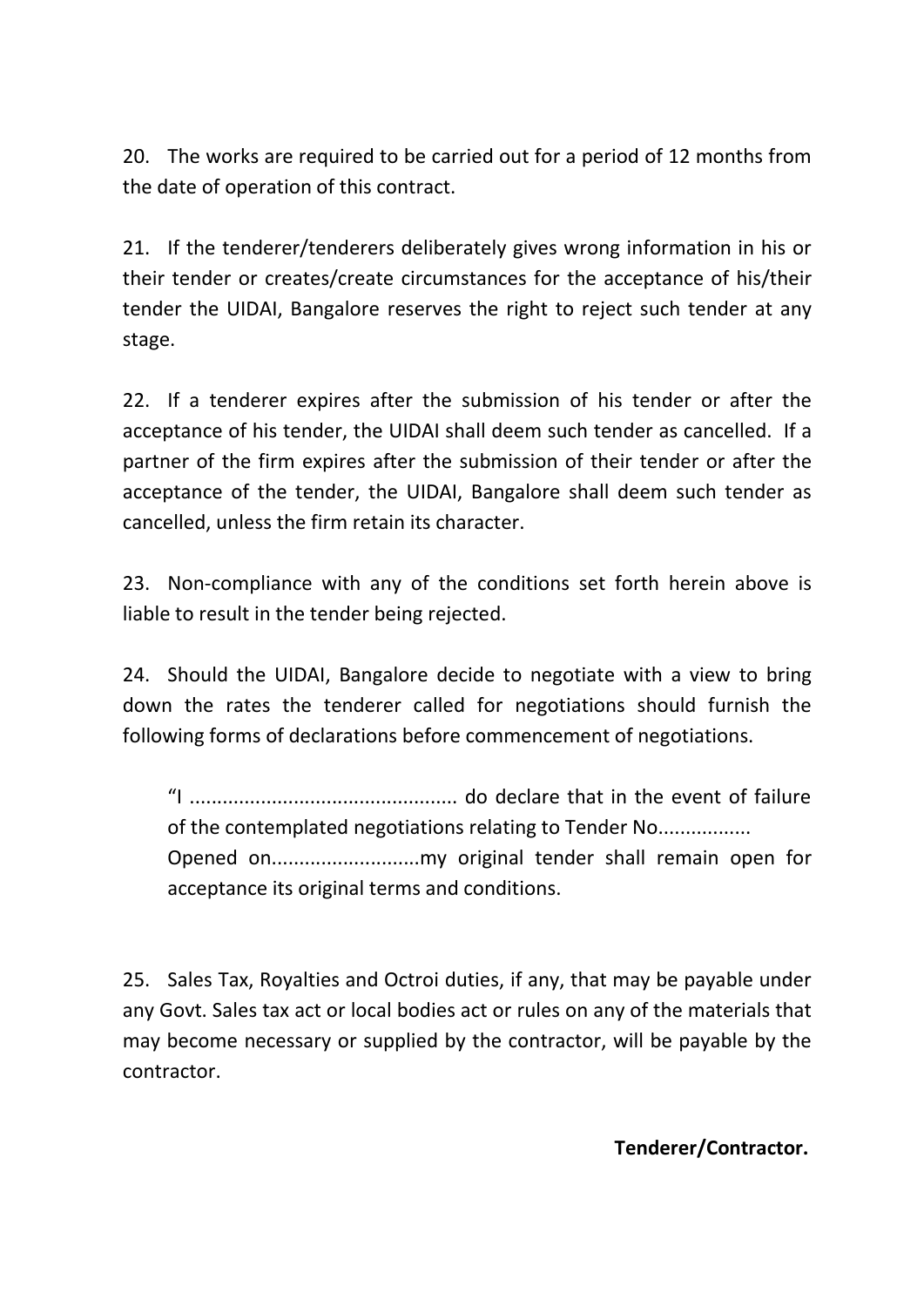20. The works are required to be carried out for a period of 12 months from the date of operation of this contract.

21. If the tenderer/tenderers deliberately gives wrong information in his or their tender or creates/create circumstances for the acceptance of his/their tender the UIDAI, Bangalore reserves the right to reject such tender at any stage.

22. If a tenderer expires after the submission of his tender or after the acceptance of his tender, the UIDAI shall deem such tender as cancelled. If a partner of the firm expires after the submission of their tender or after the acceptance of the tender, the UIDAI, Bangalore shall deem such tender as cancelled, unless the firm retain its character.

23. Non-compliance with any of the conditions set forth herein above is liable to result in the tender being rejected.

24. Should the UIDAI, Bangalore decide to negotiate with a view to bring down the rates the tenderer called for negotiations should furnish the following forms of declarations before commencement of negotiations.

"I ................................................. do declare that in the event of failure of the contemplated negotiations relating to Tender No................. Opened on...........................my original tender shall remain open for acceptance its original terms and conditions.

25. Sales Tax, Royalties and Octroi duties, if any, that may be payable under any Govt. Sales tax act or local bodies act or rules on any of the materials that may become necessary or supplied by the contractor, will be payable by the contractor.

**Tenderer/Contractor.**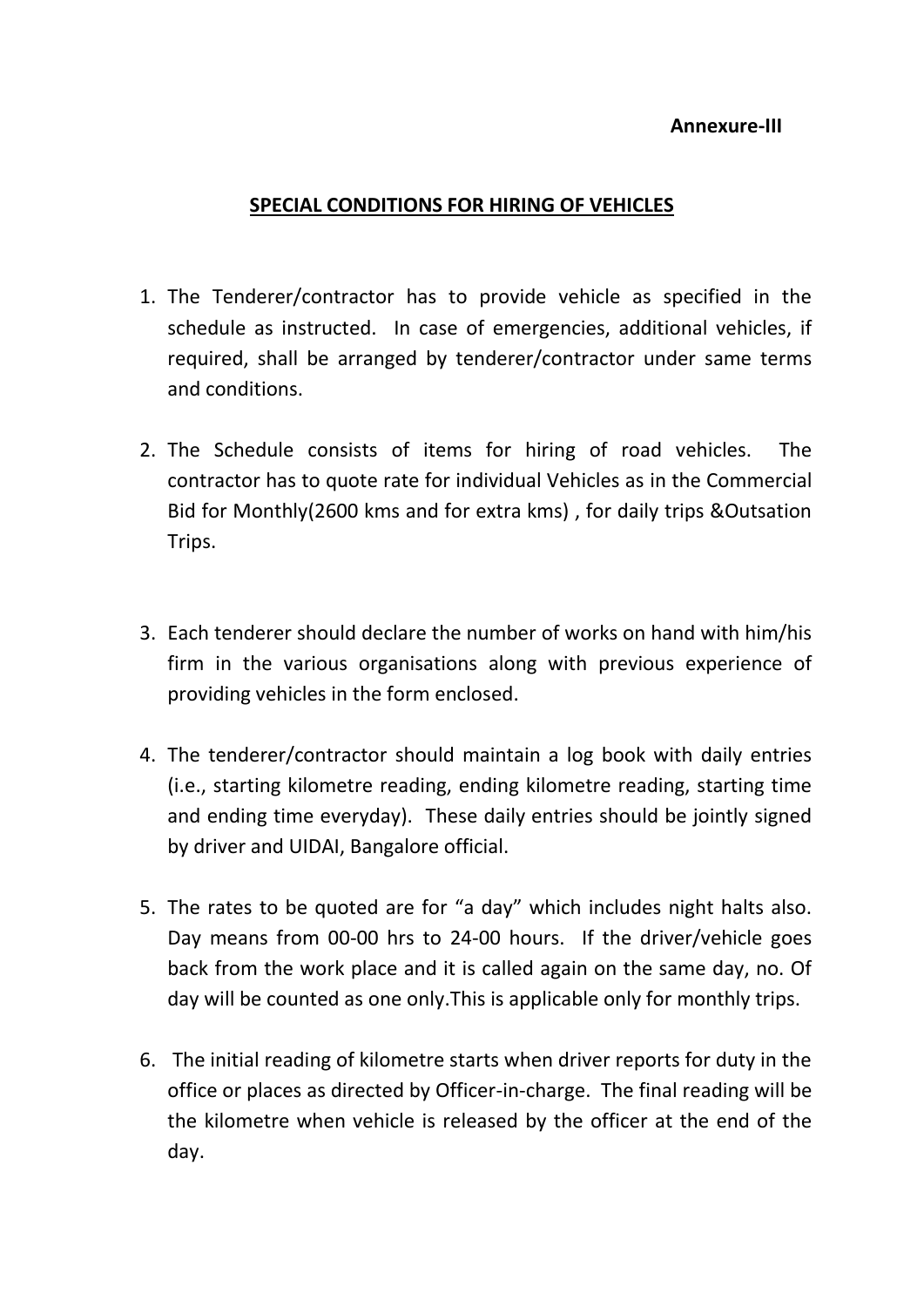### **Annexure-III**

## **SPECIAL CONDITIONS FOR HIRING OF VEHICLES**

- 1. The Tenderer/contractor has to provide vehicle as specified in the schedule as instructed. In case of emergencies, additional vehicles, if required, shall be arranged by tenderer/contractor under same terms and conditions.
- 2. The Schedule consists of items for hiring of road vehicles. The contractor has to quote rate for individual Vehicles as in the Commercial Bid for Monthly(2600 kms and for extra kms) , for daily trips &Outsation Trips.
- 3. Each tenderer should declare the number of works on hand with him/his firm in the various organisations along with previous experience of providing vehicles in the form enclosed.
- 4. The tenderer/contractor should maintain a log book with daily entries (i.e., starting kilometre reading, ending kilometre reading, starting time and ending time everyday). These daily entries should be jointly signed by driver and UIDAI, Bangalore official.
- 5. The rates to be quoted are for "a day" which includes night halts also. Day means from 00-00 hrs to 24-00 hours. If the driver/vehicle goes back from the work place and it is called again on the same day, no. Of day will be counted as one only.This is applicable only for monthly trips.
- 6. The initial reading of kilometre starts when driver reports for duty in the office or places as directed by Officer-in-charge. The final reading will be the kilometre when vehicle is released by the officer at the end of the day.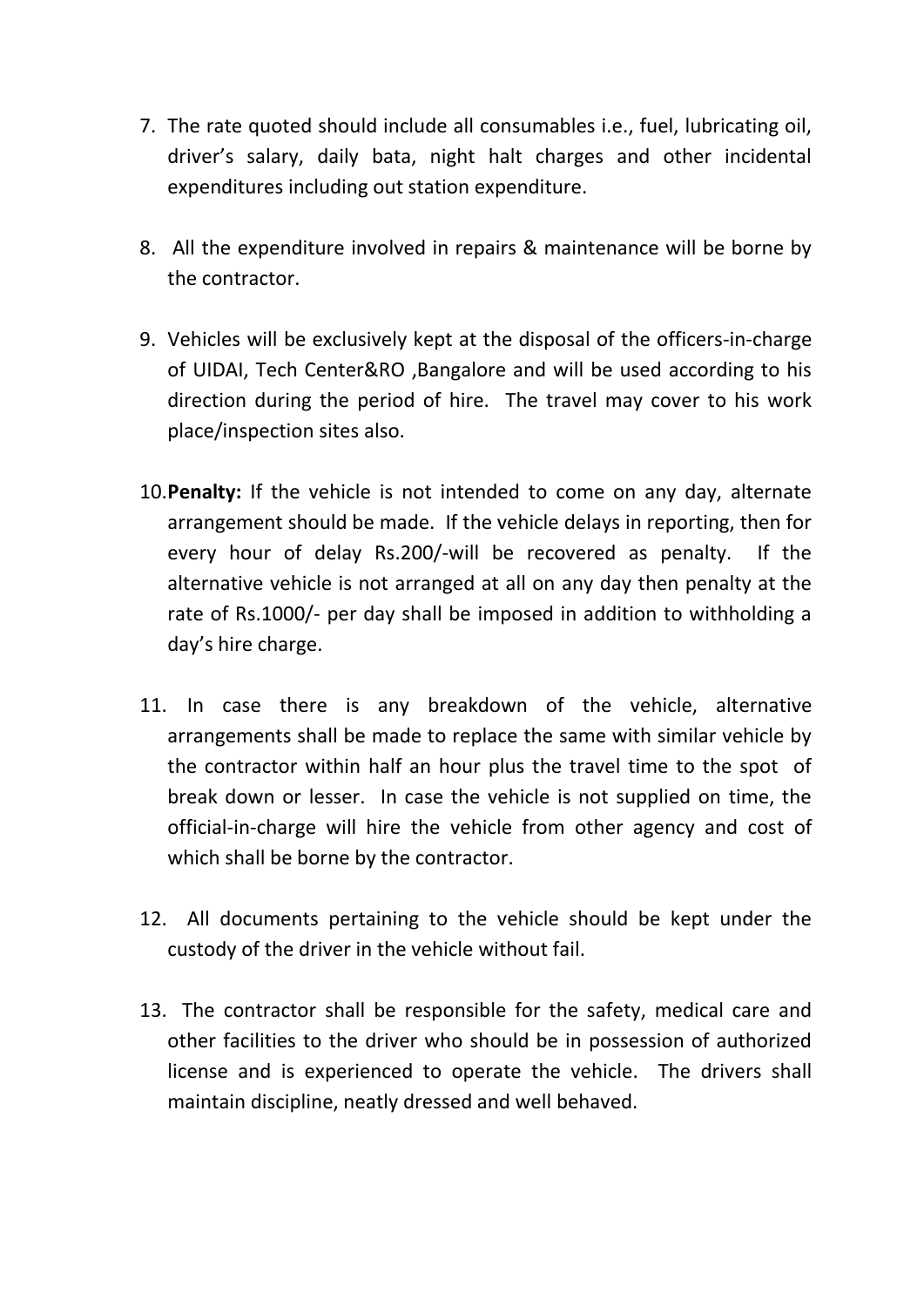- 7. The rate quoted should include all consumables i.e., fuel, lubricating oil, driver's salary, daily bata, night halt charges and other incidental expenditures including out station expenditure.
- 8. All the expenditure involved in repairs & maintenance will be borne by the contractor.
- 9. Vehicles will be exclusively kept at the disposal of the officers-in-charge of UIDAI, Tech Center&RO ,Bangalore and will be used according to his direction during the period of hire. The travel may cover to his work place/inspection sites also.
- 10.**Penalty:** If the vehicle is not intended to come on any day, alternate arrangement should be made. If the vehicle delays in reporting, then for every hour of delay Rs.200/-will be recovered as penalty. If the alternative vehicle is not arranged at all on any day then penalty at the rate of Rs.1000/- per day shall be imposed in addition to withholding a day's hire charge.
- 11. In case there is any breakdown of the vehicle, alternative arrangements shall be made to replace the same with similar vehicle by the contractor within half an hour plus the travel time to the spot of break down or lesser. In case the vehicle is not supplied on time, the official-in-charge will hire the vehicle from other agency and cost of which shall be borne by the contractor.
- 12. All documents pertaining to the vehicle should be kept under the custody of the driver in the vehicle without fail.
- 13. The contractor shall be responsible for the safety, medical care and other facilities to the driver who should be in possession of authorized license and is experienced to operate the vehicle. The drivers shall maintain discipline, neatly dressed and well behaved.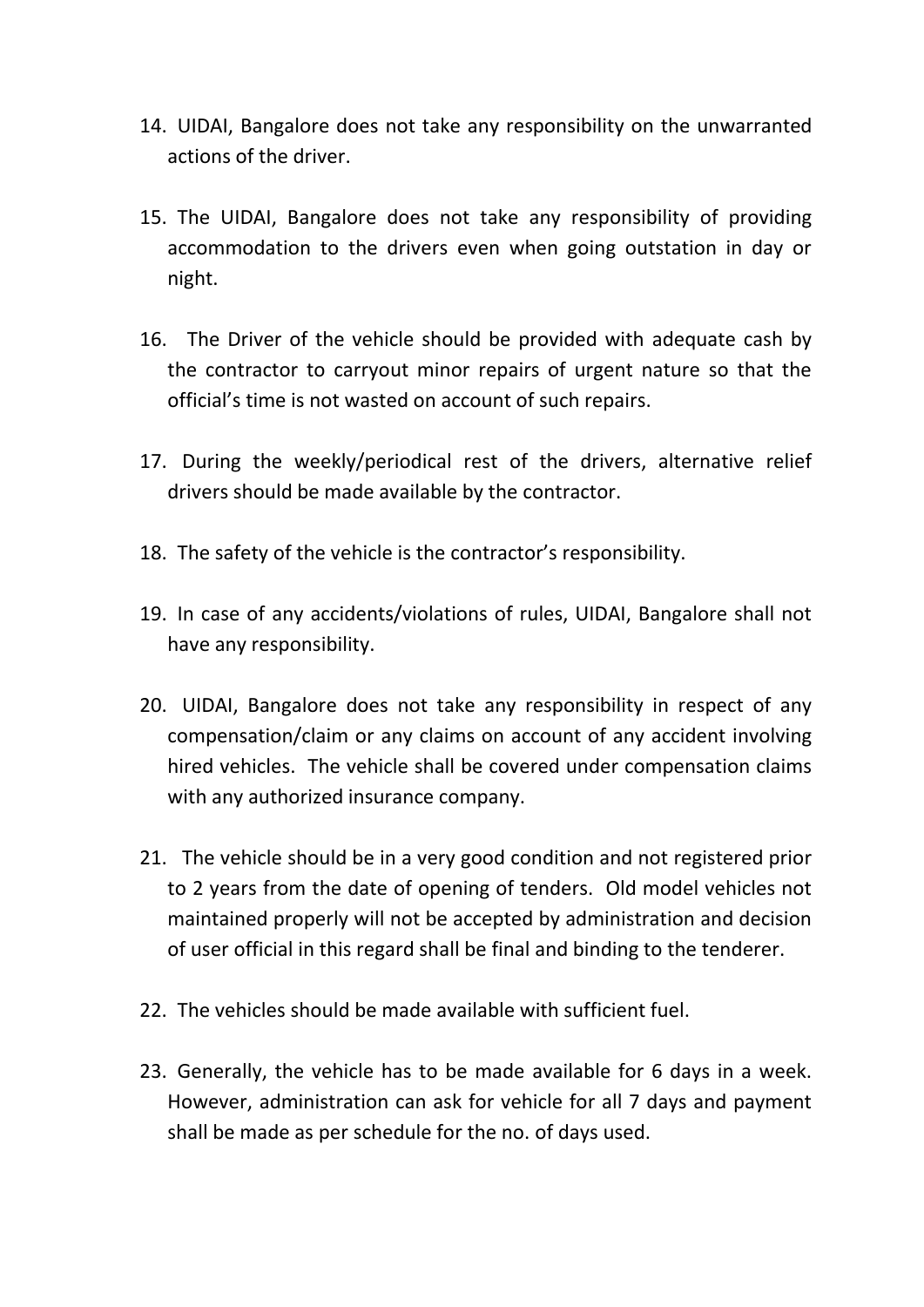- 14. UIDAI, Bangalore does not take any responsibility on the unwarranted actions of the driver.
- 15. The UIDAI, Bangalore does not take any responsibility of providing accommodation to the drivers even when going outstation in day or night.
- 16. The Driver of the vehicle should be provided with adequate cash by the contractor to carryout minor repairs of urgent nature so that the official's time is not wasted on account of such repairs.
- 17. During the weekly/periodical rest of the drivers, alternative relief drivers should be made available by the contractor.
- 18. The safety of the vehicle is the contractor's responsibility.
- 19. In case of any accidents/violations of rules, UIDAI, Bangalore shall not have any responsibility.
- 20. UIDAI, Bangalore does not take any responsibility in respect of any compensation/claim or any claims on account of any accident involving hired vehicles. The vehicle shall be covered under compensation claims with any authorized insurance company.
- 21. The vehicle should be in a very good condition and not registered prior to 2 years from the date of opening of tenders. Old model vehicles not maintained properly will not be accepted by administration and decision of user official in this regard shall be final and binding to the tenderer.
- 22. The vehicles should be made available with sufficient fuel.
- 23. Generally, the vehicle has to be made available for 6 days in a week. However, administration can ask for vehicle for all 7 days and payment shall be made as per schedule for the no. of days used.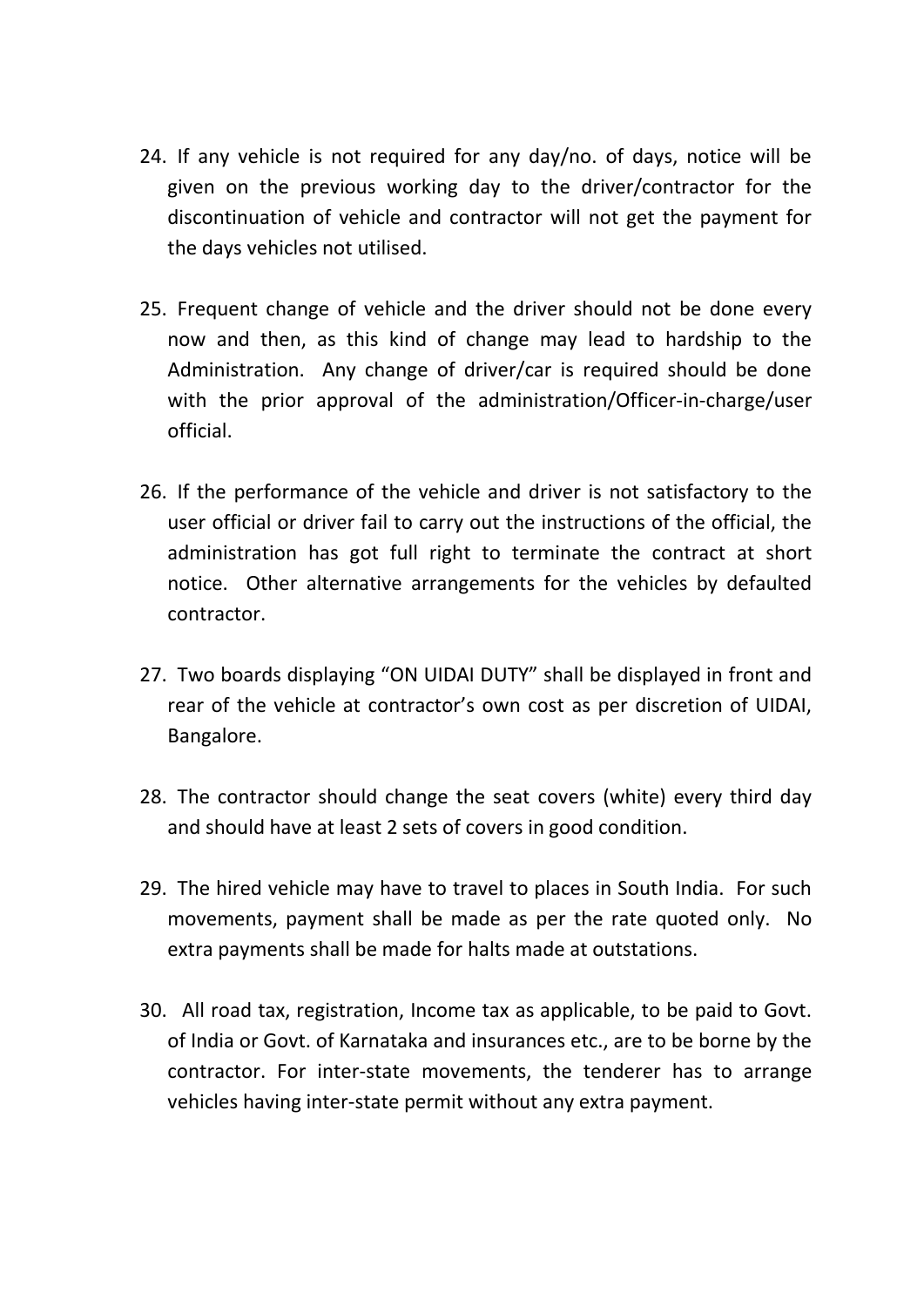- 24. If any vehicle is not required for any day/no. of days, notice will be given on the previous working day to the driver/contractor for the discontinuation of vehicle and contractor will not get the payment for the days vehicles not utilised.
- 25. Frequent change of vehicle and the driver should not be done every now and then, as this kind of change may lead to hardship to the Administration. Any change of driver/car is required should be done with the prior approval of the administration/Officer-in-charge/user official.
- 26. If the performance of the vehicle and driver is not satisfactory to the user official or driver fail to carry out the instructions of the official, the administration has got full right to terminate the contract at short notice. Other alternative arrangements for the vehicles by defaulted contractor.
- 27. Two boards displaying "ON UIDAI DUTY" shall be displayed in front and rear of the vehicle at contractor's own cost as per discretion of UIDAI, Bangalore.
- 28. The contractor should change the seat covers (white) every third day and should have at least 2 sets of covers in good condition.
- 29. The hired vehicle may have to travel to places in South India. For such movements, payment shall be made as per the rate quoted only. No extra payments shall be made for halts made at outstations.
- 30. All road tax, registration, Income tax as applicable, to be paid to Govt. of India or Govt. of Karnataka and insurances etc., are to be borne by the contractor. For inter-state movements, the tenderer has to arrange vehicles having inter-state permit without any extra payment.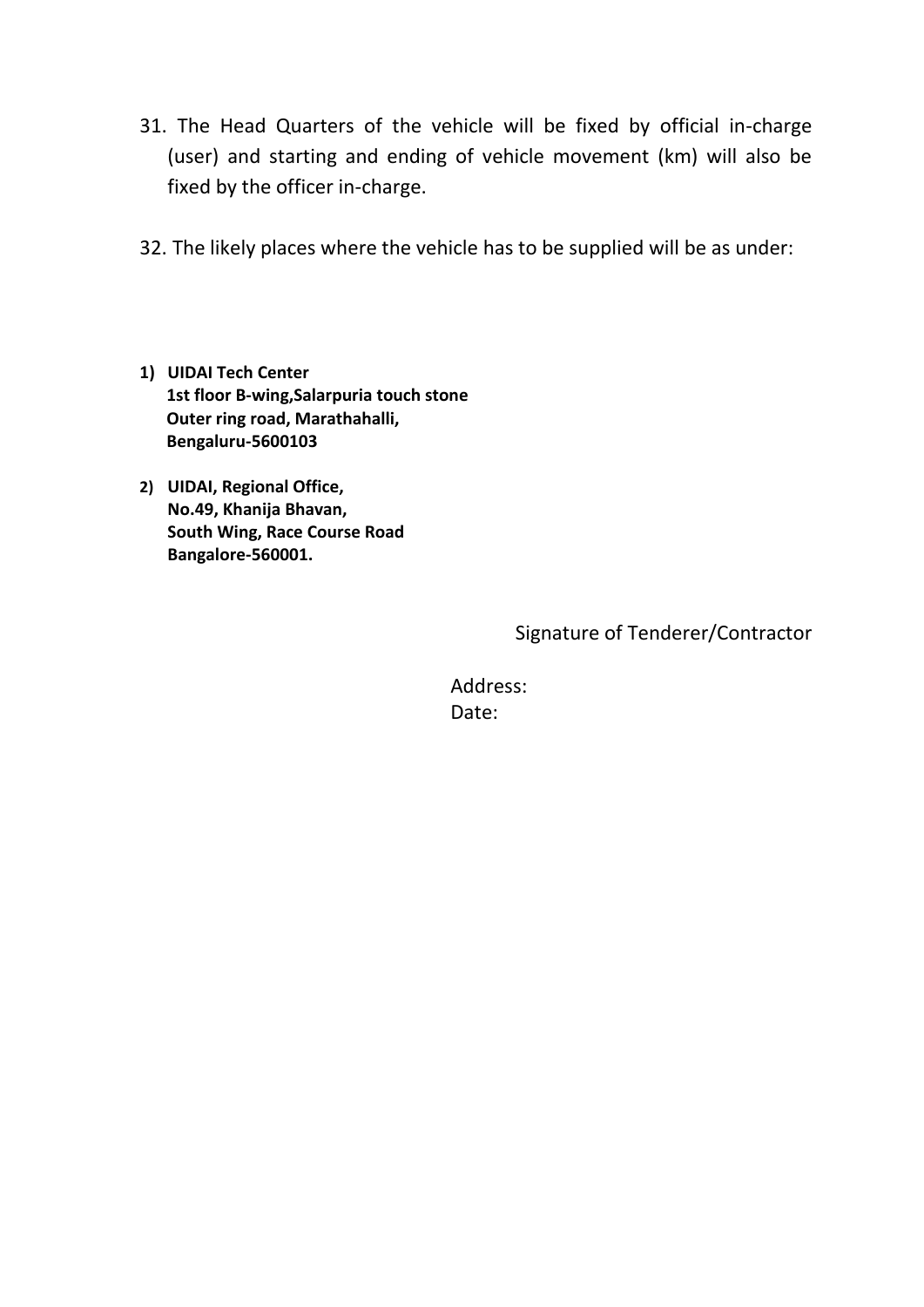- 31. The Head Quarters of the vehicle will be fixed by official in-charge (user) and starting and ending of vehicle movement (km) will also be fixed by the officer in-charge.
- 32. The likely places where the vehicle has to be supplied will be as under:
- **1) UIDAI Tech Center 1st floor B-wing,Salarpuria touch stone Outer ring road, Marathahalli, Bengaluru-5600103**
- **2) UIDAI, Regional Office, No.49, Khanija Bhavan, South Wing, Race Course Road Bangalore-560001.**

Signature of Tenderer/Contractor

 Address: Date: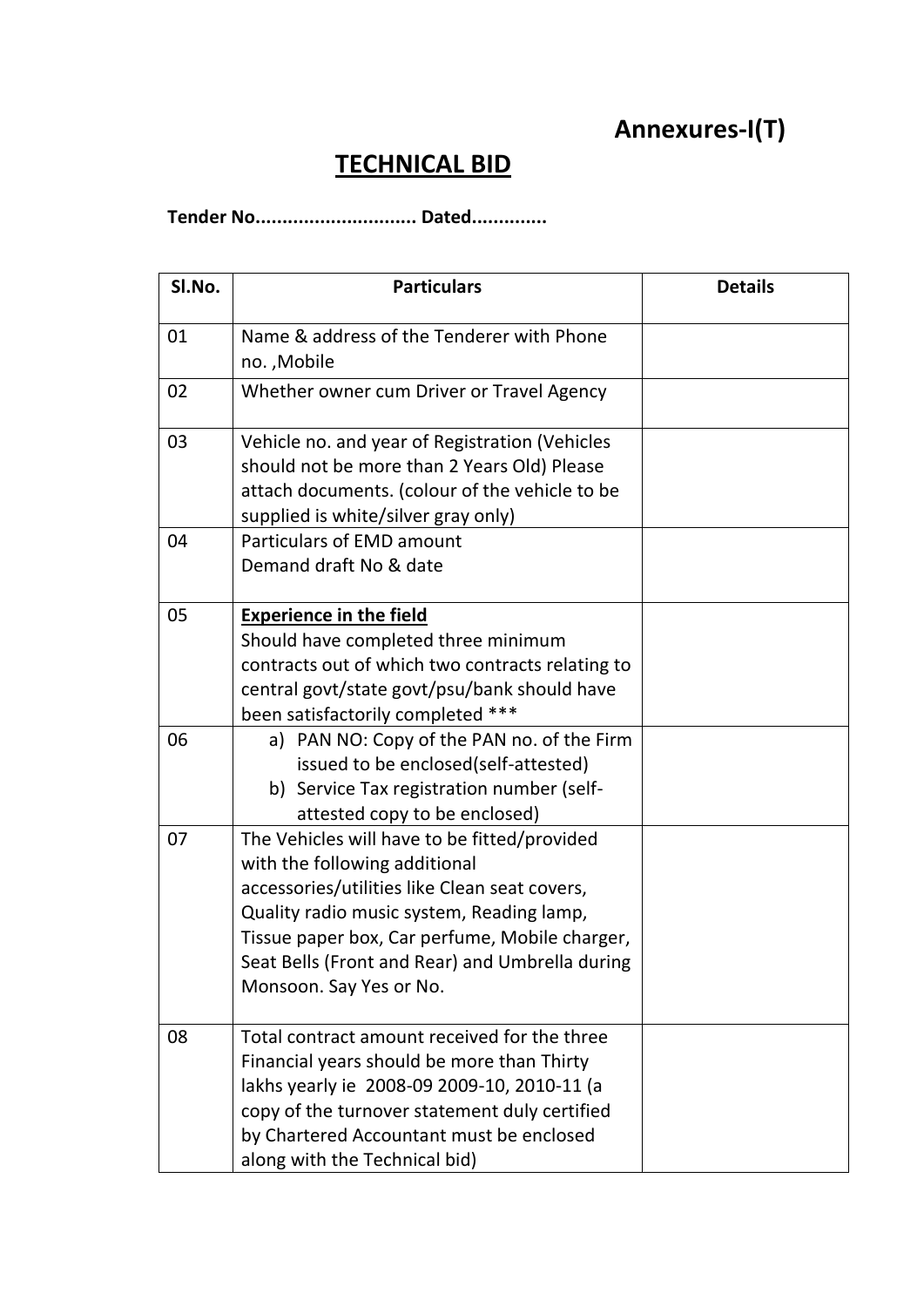# **Annexures-I(T)**

# **TECHNICAL BID**

**Tender No.............................. Dated..............**

| SI.No. | <b>Particulars</b>                                                                                                                                                                                                                                                                                          | <b>Details</b> |
|--------|-------------------------------------------------------------------------------------------------------------------------------------------------------------------------------------------------------------------------------------------------------------------------------------------------------------|----------------|
| 01     | Name & address of the Tenderer with Phone<br>no., Mobile                                                                                                                                                                                                                                                    |                |
| 02     | Whether owner cum Driver or Travel Agency                                                                                                                                                                                                                                                                   |                |
| 03     | Vehicle no. and year of Registration (Vehicles<br>should not be more than 2 Years Old) Please<br>attach documents. (colour of the vehicle to be<br>supplied is white/silver gray only)                                                                                                                      |                |
| 04     | <b>Particulars of EMD amount</b><br>Demand draft No & date                                                                                                                                                                                                                                                  |                |
| 05     | <b>Experience in the field</b><br>Should have completed three minimum<br>contracts out of which two contracts relating to<br>central govt/state govt/psu/bank should have<br>been satisfactorily completed ***                                                                                              |                |
| 06     | a) PAN NO: Copy of the PAN no. of the Firm<br>issued to be enclosed(self-attested)<br>b) Service Tax registration number (self-<br>attested copy to be enclosed)                                                                                                                                            |                |
| 07     | The Vehicles will have to be fitted/provided<br>with the following additional<br>accessories/utilities like Clean seat covers,<br>Quality radio music system, Reading lamp,<br>Tissue paper box, Car perfume, Mobile charger,<br>Seat Bells (Front and Rear) and Umbrella during<br>Monsoon. Say Yes or No. |                |
| 08     | Total contract amount received for the three<br>Financial years should be more than Thirty<br>lakhs yearly ie 2008-09 2009-10, 2010-11 (a<br>copy of the turnover statement duly certified<br>by Chartered Accountant must be enclosed<br>along with the Technical bid)                                     |                |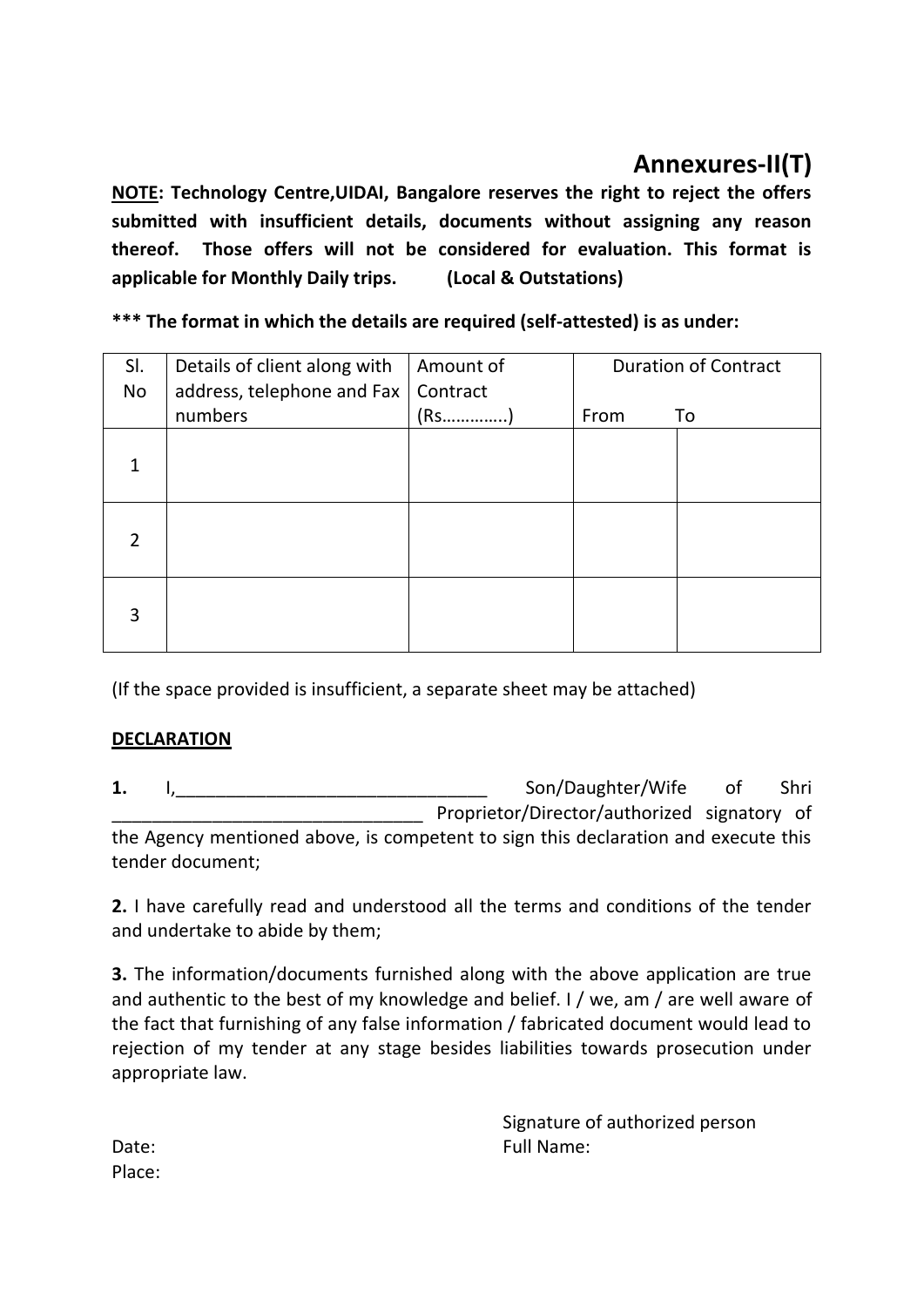# **Annexures-II(T)**

**NOTE: Technology Centre,UIDAI, Bangalore reserves the right to reject the offers submitted with insufficient details, documents without assigning any reason thereof. Those offers will not be considered for evaluation. This format is applicable for Monthly Daily trips. (Local & Outstations)**

**\*\*\* The format in which the details are required (self-attested) is as under:**

| SI.<br>No     | Details of client along with<br>address, telephone and Fax | Amount of<br>Contract |      | <b>Duration of Contract</b> |
|---------------|------------------------------------------------------------|-----------------------|------|-----------------------------|
|               | numbers                                                    | $(R5$                 | From | To                          |
|               |                                                            |                       |      |                             |
| $\mathcal{P}$ |                                                            |                       |      |                             |
| 3             |                                                            |                       |      |                             |

(If the space provided is insufficient, a separate sheet may be attached)

### **DECLARATION**

**1.** I,\_\_\_\_\_\_\_\_\_\_\_\_\_\_\_\_\_\_\_\_\_\_\_\_\_\_\_\_\_\_\_ Son/Daughter/Wife of Shri Proprietor/Director/authorized signatory of the Agency mentioned above, is competent to sign this declaration and execute this tender document;

**2.** I have carefully read and understood all the terms and conditions of the tender and undertake to abide by them;

**3.** The information/documents furnished along with the above application are true and authentic to the best of my knowledge and belief. I / we, am / are well aware of the fact that furnishing of any false information / fabricated document would lead to rejection of my tender at any stage besides liabilities towards prosecution under appropriate law.

Signature of authorized person Date: Example 2012 12: The Contract of the Contract of Tull Name:

Place: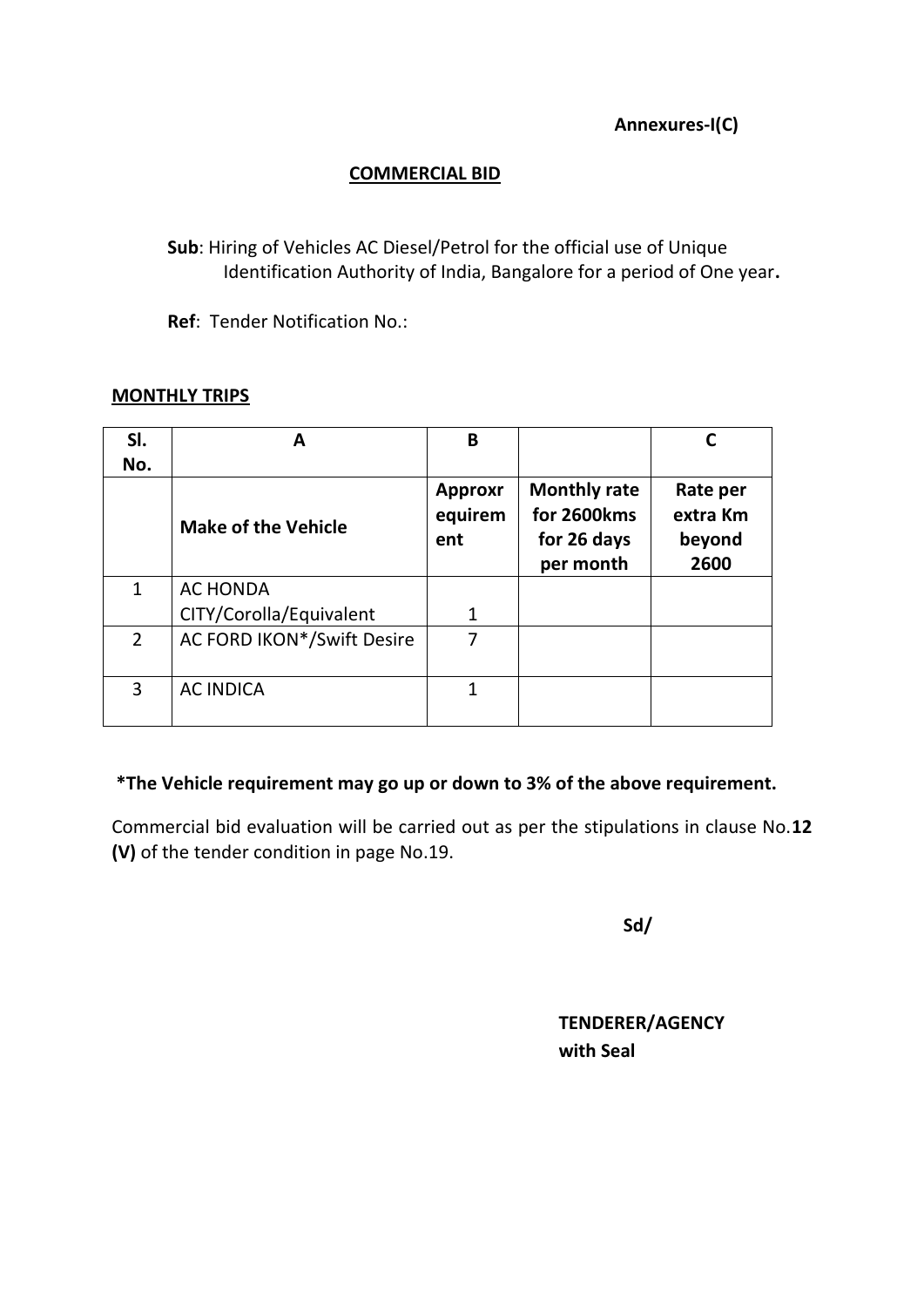**Annexures-I(C)**

### **COMMERCIAL BID**

**Sub**: Hiring of Vehicles AC Diesel/Petrol for the official use of Unique Identification Authority of India, Bangalore for a period of One year**.**

**Ref**: Tender Notification No.:

#### **MONTHLY TRIPS**

| SI.<br>No.            | A                          | B                                |                                                                |                                        |
|-----------------------|----------------------------|----------------------------------|----------------------------------------------------------------|----------------------------------------|
|                       | <b>Make of the Vehicle</b> | <b>Approxr</b><br>equirem<br>ent | <b>Monthly rate</b><br>for 2600kms<br>for 26 days<br>per month | Rate per<br>extra Km<br>beyond<br>2600 |
| 1                     | <b>AC HONDA</b>            |                                  |                                                                |                                        |
|                       | CITY/Corolla/Equivalent    |                                  |                                                                |                                        |
| $\mathbf{2}^{\prime}$ | AC FORD IKON*/Swift Desire | 7                                |                                                                |                                        |
| 3                     | <b>AC INDICA</b>           | 1                                |                                                                |                                        |

### **\*The Vehicle requirement may go up or down to 3% of the above requirement.**

Commercial bid evaluation will be carried out as per the stipulations in clause No.**12 (V)** of the tender condition in page No.19.

 **Sd/**

**TENDERER/AGENCY with Seal**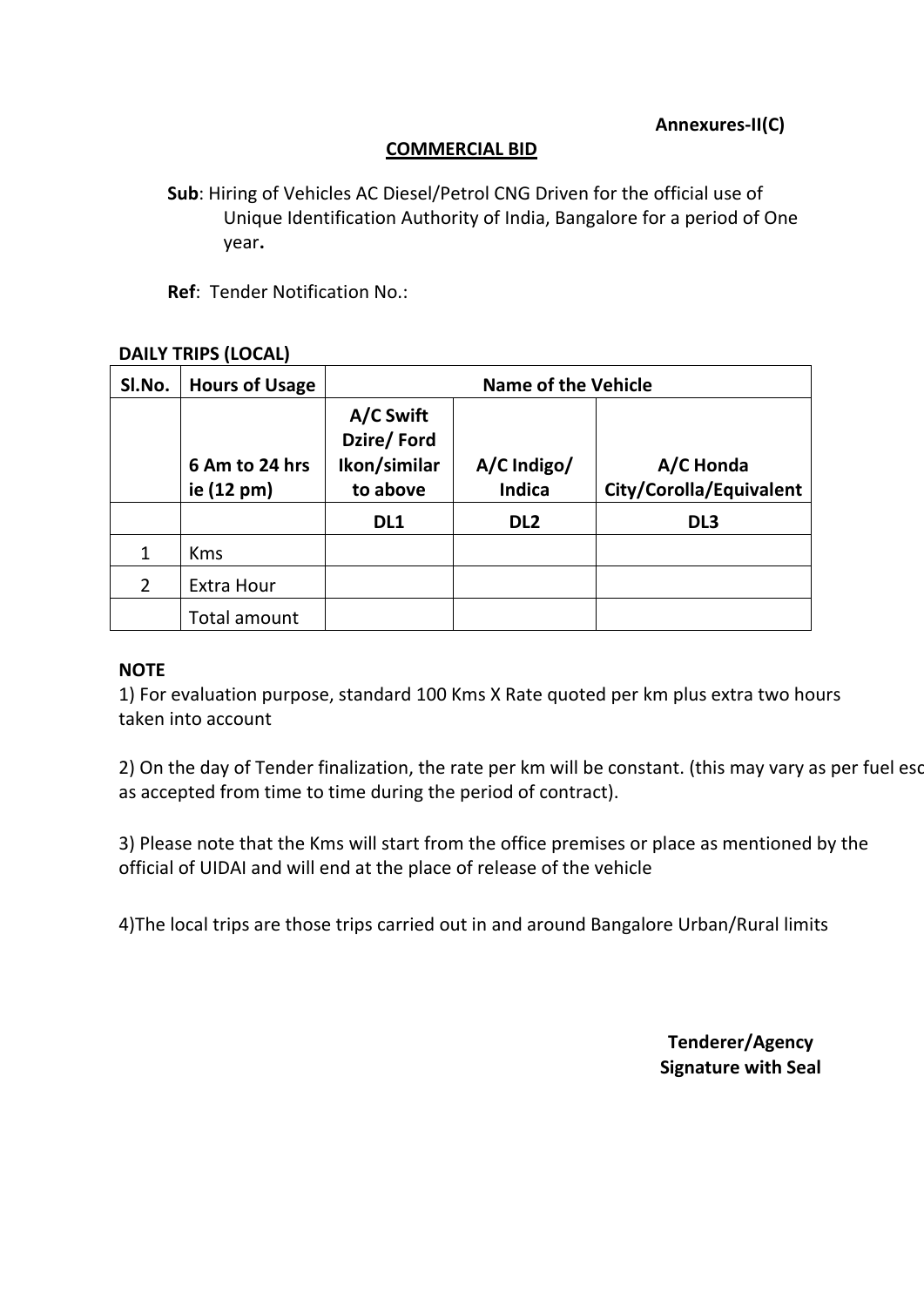#### **COMMERCIAL BID**

**Sub**: Hiring of Vehicles AC Diesel/Petrol CNG Driven for the official use of Unique Identification Authority of India, Bangalore for a period of One year**.**

**Ref**: Tender Notification No.:

#### **DAILY TRIPS (LOCAL)**

| SI.No.        | <b>Hours of Usage</b>        | <b>Name of the Vehicle</b>                          |                              |                                      |  |
|---------------|------------------------------|-----------------------------------------------------|------------------------------|--------------------------------------|--|
|               | 6 Am to 24 hrs<br>ie (12 pm) | A/C Swift<br>Dzire/Ford<br>Ikon/similar<br>to above | A/C Indigo/<br><b>Indica</b> | A/C Honda<br>City/Corolla/Equivalent |  |
|               |                              | DL1                                                 | DL <sub>2</sub>              | DL <sub>3</sub>                      |  |
| 1             | <b>Kms</b>                   |                                                     |                              |                                      |  |
| $\mathcal{P}$ | <b>Extra Hour</b>            |                                                     |                              |                                      |  |
|               | Total amount                 |                                                     |                              |                                      |  |

#### **NOTE**

1) For evaluation purpose, standard 100 Kms X Rate quoted per km plus extra two hours taken into account

2) On the day of Tender finalization, the rate per km will be constant. (this may vary as per fuel escalation as accepted from time to time during the period of contract).

3) Please note that the Kms will start from the office premises or place as mentioned by the official of UIDAI and will end at the place of release of the vehicle

4)The local trips are those trips carried out in and around Bangalore Urban/Rural limits

**Tenderer/Agency Signature with Seal**